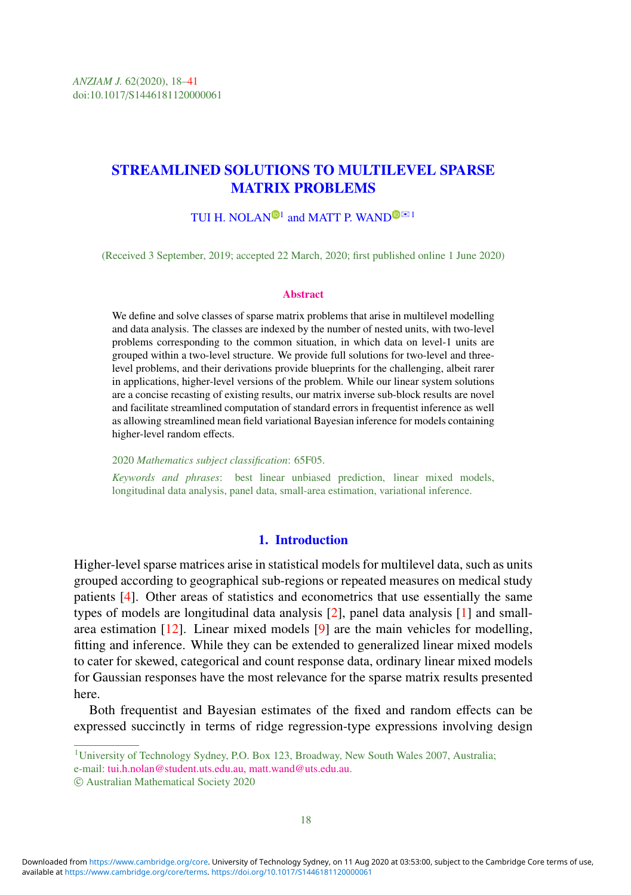# STREAMLINED SOLUTIONS TO MULTILEVEL SPARSE MATRIX PROBLEMS

# TUI H. [N](https://orcid.org/0000-0003-1877-7857)OLAN<sup>®1</sup> and MATT P. WAN[D](https://orcid.org/0000-0003-2555-896X)<sup>® $\mathbb{R}$ 1</sup>

(Received 3 September, 2019; accepted 22 March, 2020; first published online 1 June 2020)

#### **Abstract**

We define and solve classes of sparse matrix problems that arise in multilevel modelling and data analysis. The classes are indexed by the number of nested units, with two-level problems corresponding to the common situation, in which data on level-1 units are grouped within a two-level structure. We provide full solutions for two-level and threelevel problems, and their derivations provide blueprints for the challenging, albeit rarer in applications, higher-level versions of the problem. While our linear system solutions are a concise recasting of existing results, our matrix inverse sub-block results are novel and facilitate streamlined computation of standard errors in frequentist inference as well as allowing streamlined mean field variational Bayesian inference for models containing higher-level random effects.

2020 *Mathematics subject classification*: 65F05.

*Keywords and phrases*: best linear unbiased prediction, linear mixed models, longitudinal data analysis, panel data, small-area estimation, variational inference.

#### 1. Introduction

Higher-level sparse matrices arise in statistical models for multilevel data, such as units grouped according to geographical sub-regions or repeated measures on medical study patients [\[4\]](#page-22-0). Other areas of statistics and econometrics that use essentially the same types of models are longitudinal data analysis [\[2\]](#page-22-1), panel data analysis [\[1\]](#page-22-2) and smallarea estimation [\[12\]](#page-23-0). Linear mixed models [\[9\]](#page-22-3) are the main vehicles for modelling, fitting and inference. While they can be extended to generalized linear mixed models to cater for skewed, categorical and count response data, ordinary linear mixed models for Gaussian responses have the most relevance for the sparse matrix results presented here.

Both frequentist and Bayesian estimates of the fixed and random effects can be expressed succinctly in terms of ridge regression-type expressions involving design

e-mail: [tui.h.nolan@student.uts.edu.au,](mailto:tui.h.nolan@student.uts.edu.au) [matt.wand@uts.edu.au.](mailto:matt.wand@uts.edu.au)

<sup>1</sup>University of Technology Sydney, P.O. Box 123, Broadway, New South Wales 2007, Australia;

c Australian Mathematical Society 2020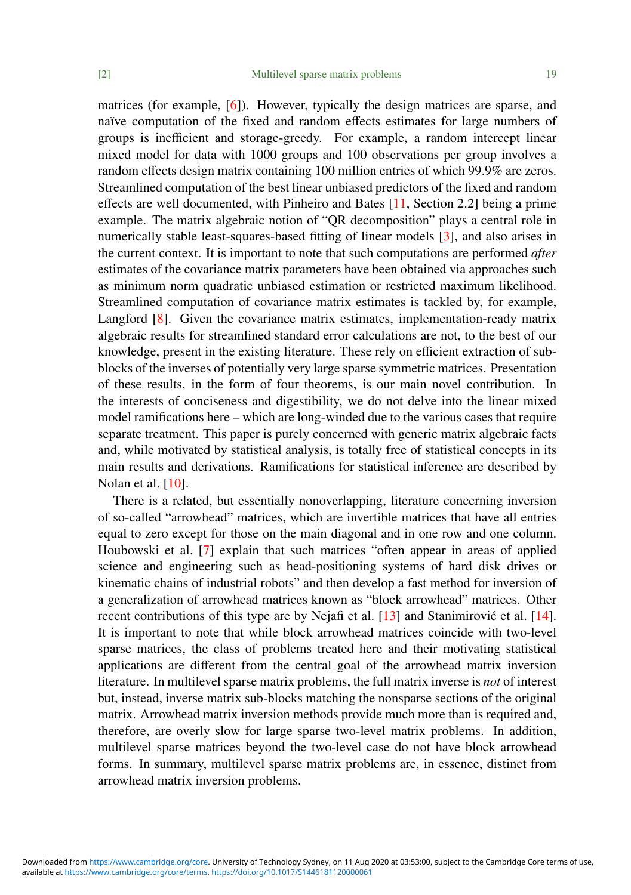matrices (for example, [\[6\]](#page-22-4)). However, typically the design matrices are sparse, and naïve computation of the fixed and random effects estimates for large numbers of groups is inefficient and storage-greedy. For example, a random intercept linear mixed model for data with 1000 groups and 100 observations per group involves a random effects design matrix containing 100 million entries of which 99.9% are zeros. Streamlined computation of the best linear unbiased predictors of the fixed and random effects are well documented, with Pinheiro and Bates [\[11,](#page-23-1) Section 2.2] being a prime example. The matrix algebraic notion of "QR decomposition" plays a central role in numerically stable least-squares-based fitting of linear models [\[3\]](#page-22-5), and also arises in the current context. It is important to note that such computations are performed *after* estimates of the covariance matrix parameters have been obtained via approaches such as minimum norm quadratic unbiased estimation or restricted maximum likelihood. Streamlined computation of covariance matrix estimates is tackled by, for example, Langford [\[8\]](#page-22-6). Given the covariance matrix estimates, implementation-ready matrix algebraic results for streamlined standard error calculations are not, to the best of our knowledge, present in the existing literature. These rely on efficient extraction of subblocks of the inverses of potentially very large sparse symmetric matrices. Presentation of these results, in the form of four theorems, is our main novel contribution. In the interests of conciseness and digestibility, we do not delve into the linear mixed model ramifications here – which are long-winded due to the various cases that require separate treatment. This paper is purely concerned with generic matrix algebraic facts and, while motivated by statistical analysis, is totally free of statistical concepts in its main results and derivations. Ramifications for statistical inference are described by Nolan et al. [\[10\]](#page-22-7).

There is a related, but essentially nonoverlapping, literature concerning inversion of so-called "arrowhead" matrices, which are invertible matrices that have all entries equal to zero except for those on the main diagonal and in one row and one column. Houbowski et al. [\[7\]](#page-22-8) explain that such matrices "often appear in areas of applied science and engineering such as head-positioning systems of hard disk drives or kinematic chains of industrial robots" and then develop a fast method for inversion of a generalization of arrowhead matrices known as "block arrowhead" matrices. Other recent contributions of this type are by Nejafi et al.  $[13]$  and Stanimirovic et al.  $[14]$  $[14]$ . It is important to note that while block arrowhead matrices coincide with two-level sparse matrices, the class of problems treated here and their motivating statistical applications are different from the central goal of the arrowhead matrix inversion literature. In multilevel sparse matrix problems, the full matrix inverse is *not* of interest but, instead, inverse matrix sub-blocks matching the nonsparse sections of the original matrix. Arrowhead matrix inversion methods provide much more than is required and, therefore, are overly slow for large sparse two-level matrix problems. In addition, multilevel sparse matrices beyond the two-level case do not have block arrowhead forms. In summary, multilevel sparse matrix problems are, in essence, distinct from arrowhead matrix inversion problems.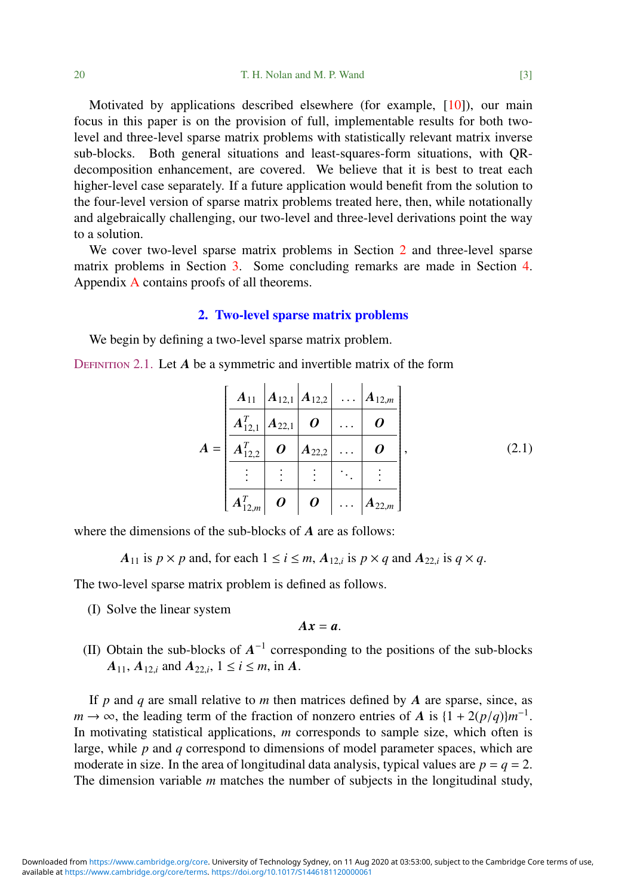Motivated by applications described elsewhere (for example, [\[10\]](#page-22-7)), our main focus in this paper is on the provision of full, implementable results for both twolevel and three-level sparse matrix problems with statistically relevant matrix inverse sub-blocks. Both general situations and least-squares-form situations, with QRdecomposition enhancement, are covered. We believe that it is best to treat each higher-level case separately. If a future application would benefit from the solution to the four-level version of sparse matrix problems treated here, then, while notationally and algebraically challenging, our two-level and three-level derivations point the way to a solution.

We cover two-level sparse matrix problems in Section [2](#page-2-0) and three-level sparse matrix problems in Section [3.](#page-6-0) Some concluding remarks are made in Section [4.](#page-12-0) Appendix [A](#page-12-1) contains proofs of all theorems.

#### 2. Two-level sparse matrix problems

<span id="page-2-0"></span>We begin by defining a two-level sparse matrix problem.

DEFINITION 2.1. Let *A* be a symmetric and invertible matrix of the form

<span id="page-2-1"></span>
$$
A = \begin{bmatrix} A_{11} & A_{12,1} & A_{12,2} & \dots & A_{12,m} \\ A_{12,1}^T & A_{22,1} & O & \dots & O \\ \hline A_{12,2}^T & O & A_{22,2} & \dots & O \\ \vdots & \vdots & \vdots & \ddots & \vdots \\ A_{12,m}^T & O & O & \dots & A_{22,m} \end{bmatrix},
$$
(2.1)

where the dimensions of the sub-blocks of *A* are as follows:

*A*<sub>11</sub> is  $p \times p$  and, for each  $1 \le i \le m$ ,  $A_{12,i}$  is  $p \times q$  and  $A_{22,i}$  is  $q \times q$ .

The two-level sparse matrix problem is defined as follows.

(I) Solve the linear system

$$
Ax=a.
$$

(II) Obtain the sub-blocks of  $A^{-1}$  corresponding to the positions of the sub-blocks *A*<sub>11</sub>, *A*<sub>12,*i*</sub> and *A*<sub>22,*i*</sub>, 1 ≤ *i* ≤ *m*, in *A*.

If *p* and *q* are small relative to *m* then matrices defined by *A* are sparse, since, as  $m \rightarrow \infty$ , the leading term of the fraction of nonzero entries of *A* is  $\{1 + 2(p/q)\}m^{-1}$ .<br>In motivating statistical applications *m* corresponds to sample size, which often is In motivating statistical applications, *m* corresponds to sample size, which often is large, while *p* and *q* correspond to dimensions of model parameter spaces, which are moderate in size. In the area of longitudinal data analysis, typical values are  $p = q = 2$ . The dimension variable *m* matches the number of subjects in the longitudinal study,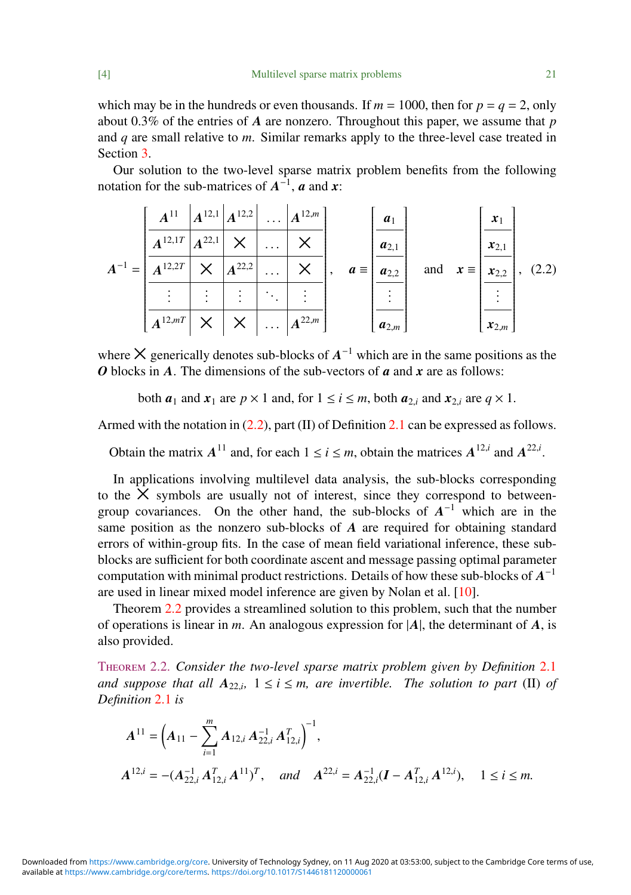which may be in the hundreds or even thousands. If  $m = 1000$ , then for  $p = q = 2$ , only about 0.3% of the entries of *A* are nonzero. Throughout this paper, we assume that *p* and *q* are small relative to *m*. Similar remarks apply to the three-level case treated in Section [3.](#page-6-0)

Our solution to the two-level sparse matrix problem benefits from the following notation for the sub-matrices of  $A^{-1}$ , *a* and *x*:

<span id="page-3-0"></span>
$$
A^{-1} = \frac{\begin{bmatrix} A^{11} & A^{12,1} & A^{12,2} & \dots & A^{12,m} \\ A^{12,1T} & A^{22,1} & X & \dots & X \\ \hline A^{12,2T} & X & A^{22,2} & \dots & X \\ \vdots & \vdots & \vdots & \ddots & \vdots \\ A^{12,mT} & X & X & \dots & A^{22,m} \end{bmatrix}, \quad a = \frac{\begin{bmatrix} a_1 \\ a_{2,1} \\ \vdots \\ a_{2,2} \\ \hline \vdots \\ a_{2,m} \end{bmatrix}}{\begin{bmatrix} a_1 \\ \vdots \\ a_{2,1} \\ \vdots \\ a_{2,m} \end{bmatrix}}, \quad (2.2)
$$

where  $\times$  generically denotes sub-blocks of  $A^{-1}$  which are in the same positions as the *O* blocks in *A*. The dimensions of the sub-vectors of *a* and *x* are as follows:

both  $a_1$  and  $x_1$  are  $p \times 1$  and, for  $1 \le i \le m$ , both  $a_2$ , and  $x_2$ , are  $q \times 1$ .

Armed with the notation in [\(2.2\)](#page-3-0), part (II) of Definition [2.1](#page-2-1) can be expressed as follows.

Obtain the matrix  $A^{11}$  and, for each  $1 \le i \le m$ , obtain the matrices  $A^{12,i}$  and  $A^{22,i}$ 

In applications involving multilevel data analysis, the sub-blocks corresponding to the  $X$  symbols are usually not of interest, since they correspond to betweengroup covariances. On the other hand, the sub-blocks of  $A^{-1}$  which are in the same position as the nonzero sub-blocks of *A* are required for obtaining standard errors of within-group fits. In the case of mean field variational inference, these subblocks are sufficient for both coordinate ascent and message passing optimal parameter computation with minimal product restrictions. Details of how these sub-blocks of *A* −1 are used in linear mixed model inference are given by Nolan et al. [\[10\]](#page-22-7).

Theorem [2.2](#page-3-1) provides a streamlined solution to this problem, such that the number of operations is linear in *m*. An analogous expression for |*A*|, the determinant of *A*, is also provided.

<span id="page-3-1"></span>Theorem 2.2. *Consider the two-level sparse matrix problem given by Definition* [2.1](#page-2-1) *and suppose that all*  $A_{22,i}$ ,  $1 \le i \le m$ , *are invertible. The solution to part* (II) *of*  $D_i$  *n fanition* 2.1 *is Definition* [2.1](#page-2-1) *is*

$$
A^{11} = \left(A_{11} - \sum_{i=1}^{m} A_{12,i} A_{22,i}^{-1} A_{12,i}^{T}\right)^{-1},
$$
  

$$
A^{12,i} = -(A_{22,i}^{-1} A_{12,i}^{T} A^{11})^{T}, \text{ and } A^{22,i} = A_{22,i}^{-1} (I - A_{12,i}^{T} A^{12,i}), \quad 1 \le i \le m.
$$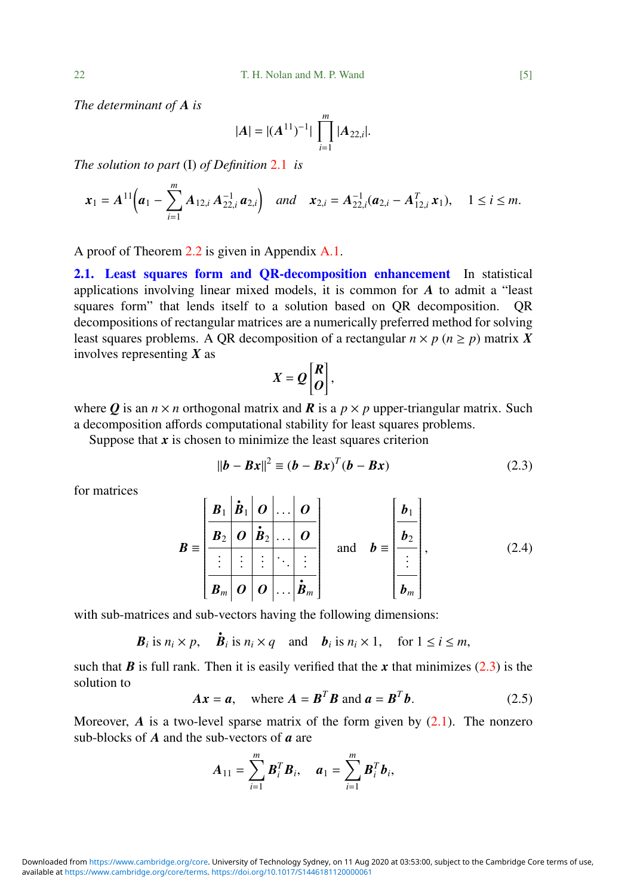*The determinant of A is*

$$
|A| = |(A^{11})^{-1}| \prod_{i=1}^{m} |A_{22,i}|.
$$

*The solution to part* (I) *of Definition* [2.1](#page-2-1) *is*

$$
\boldsymbol{x}_1 = A^{11}\bigg(\boldsymbol{a}_1 - \sum_{i=1}^m A_{12,i} A_{22,i}^{-1} \boldsymbol{a}_{2,i}\bigg) \quad \text{and} \quad \boldsymbol{x}_{2,i} = A_{22,i}^{-1}(\boldsymbol{a}_{2,i} - A_{12,i}^T \boldsymbol{x}_1), \quad 1 \leq i \leq m.
$$

A proof of Theorem [2.2](#page-3-1) is given in Appendix [A.1.](#page-12-2)

2.1. Least squares form and QR-decomposition enhancement In statistical applications involving linear mixed models, it is common for *A* to admit a "least squares form" that lends itself to a solution based on QR decomposition. QR decompositions of rectangular matrices are a numerically preferred method for solving least squares problems. A OR decomposition of a rectangular  $n \times p$  ( $n \geq p$ ) matrix X involves representing *X* as

$$
X=Q\begin{bmatrix}R\\O\end{bmatrix},
$$

where *Q* is an  $n \times n$  orthogonal matrix and *R* is a  $p \times p$  upper-triangular matrix. Such a decomposition affords computational stability for least squares problems.

Suppose that  $x$  is chosen to minimize the least squares criterion

<span id="page-4-0"></span>
$$
||\boldsymbol{b} - \boldsymbol{B}\boldsymbol{x}||^2 \equiv (\boldsymbol{b} - \boldsymbol{B}\boldsymbol{x})^T (\boldsymbol{b} - \boldsymbol{B}\boldsymbol{x}) \tag{2.3}
$$

for matrices

<span id="page-4-1"></span>
$$
B = \begin{bmatrix} \mathbf{B}_1 & \mathbf{B}_1 & \mathbf{O} & \dots & \mathbf{O} \\ \hline \mathbf{B}_2 & \mathbf{O} & \mathbf{B}_2 & \dots & \mathbf{O} \\ \vdots & \vdots & \vdots & \ddots & \vdots \\ \hline \mathbf{B}_m & \mathbf{O} & \mathbf{O} & \dots & \mathbf{B}_m \end{bmatrix} \text{ and } \mathbf{b} = \begin{bmatrix} \mathbf{b}_1 \\ \mathbf{b}_2 \\ \vdots \\ \hline \mathbf{b}_m \end{bmatrix},
$$
(2.4)

with sub-matrices and sub-vectors having the following dimensions:

*B*<sub>*i*</sub> is  $n_i \times p$ ,  $\dot{B}_i$  is  $n_i \times q$  and  $b_i$  is  $n_i \times 1$ , for  $1 \le i \le m$ ,

such that  $\bf{B}$  is full rank. Then it is easily verified that the  $\bf{x}$  that minimizes [\(2.3\)](#page-4-0) is the solution to

<span id="page-4-2"></span>
$$
Ax = a, \quad \text{where } A = B^T B \text{ and } a = B^T b. \tag{2.5}
$$

Moreover,  $\vec{A}$  is a two-level sparse matrix of the form given by  $(2.1)$ . The nonzero sub-blocks of *A* and the sub-vectors of *a* are

$$
A_{11} = \sum_{i=1}^{m} B_i^T B_i, \quad a_1 = \sum_{i=1}^{m} B_i^T b_i,
$$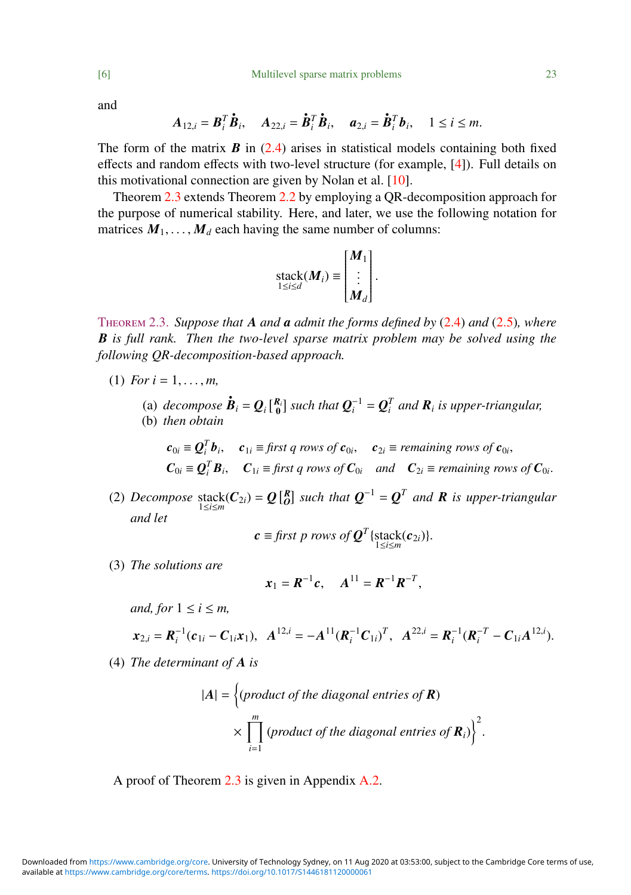and

$$
\boldsymbol{A}_{12,i}=\boldsymbol{B}_i^T\boldsymbol{\dot{B}}_i,\quad \boldsymbol{A}_{22,i}=\boldsymbol{\dot{B}}_i^T\boldsymbol{\dot{B}}_i,\quad \boldsymbol{a}_{2,i}=\boldsymbol{\dot{B}}_i^T\boldsymbol{b}_i,\quad 1\leq i\leq m.
$$

•

The form of the matrix  $\bf{B}$  in [\(2.4\)](#page-4-1) arises in statistical models containing both fixed effects and random effects with two-level structure (for example, [\[4\]](#page-22-0)). Full details on this motivational connection are given by Nolan et al. [\[10\]](#page-22-7).

Theorem [2.3](#page-5-0) extends Theorem [2.2](#page-3-1) by employing a QR-decomposition approach for the purpose of numerical stability. Here, and later, we use the following notation for matrices  $M_1, \ldots, M_d$  each having the same number of columns:

$$
\operatorname{stack}(M_i) \equiv \begin{bmatrix} M_1 \\ \vdots \\ M_d \end{bmatrix}.
$$

<span id="page-5-0"></span>Theorem 2.3. *Suppose that A and a admit the forms defined by* [\(2.4\)](#page-4-1) *and* [\(2.5\)](#page-4-2)*, where B is full rank. Then the two-level sparse matrix problem may be solved using the following QR-decomposition-based approach.*

- (1) *For*  $i = 1, ..., m$ ,
	- (a) *decompose*  $\dot{\mathbf{B}}_i = \mathbf{Q}_i \begin{bmatrix} R_i \\ 0 \end{bmatrix}$  such that  $\mathbf{Q}_i^{-1} = \mathbf{Q}_i^T$  and  $\mathbf{R}_i$  is upper-triangular, (b) *then obtain*

 $c_{0i} \equiv \mathbf{Q}_i^T \mathbf{b}_i$ ,  $c_{1i} \equiv \text{first } q \text{ rows of } c_{0i}$ ,  $c_{2i} \equiv \text{remaining rows of } c_{0i}$ ,  $C_{0i} \equiv \mathbf{Q}_i^T \mathbf{B}_i$ ,  $C_{1i} \equiv \text{first } q \text{ rows of } C_{0i}$  and  $C_{2i} \equiv \text{remaining rows of } C_{0i}$ .

(2) *Decompose* stack( $C_{2i}$ ) =  $Q\begin{bmatrix}R\\0\end{bmatrix}$  such that  $Q^{-1} = Q^T$  and **R** is upper-triangular *and let*

$$
\mathbf{c} \equiv \text{first } p \text{ rows of } \mathbf{Q}^T \{ \text{stack}(\mathbf{c}_{2i}) \}.
$$

(3) *The solutions are*

$$
x_1 = R^{-1}c
$$
,  $A^{11} = R^{-1}R^{-T}$ ,

*and, for*  $1 \le i \le m$ *.* 

$$
\boldsymbol{x}_{2,i} = \boldsymbol{R}_i^{-1}(\boldsymbol{c}_{1i} - \boldsymbol{C}_{1i}\boldsymbol{x}_1), \ \ \boldsymbol{A}^{12,i} = -\boldsymbol{A}^{11}(\boldsymbol{R}_i^{-1}\boldsymbol{C}_{1i})^T, \ \ \boldsymbol{A}^{22,i} = \boldsymbol{R}_i^{-1}(\boldsymbol{R}_i^{-T} - \boldsymbol{C}_{1i}\boldsymbol{A}^{12,i}).
$$

(4) *The determinant of A is*

$$
|A| = \left\{ \text{(product of the diagonal entries of } R) \times \prod_{i=1}^{m} \text{(product of the diagonal entries of } R_i) \right\}^2
$$

A proof of Theorem [2.3](#page-5-0) is given in Appendix [A.2.](#page-14-0)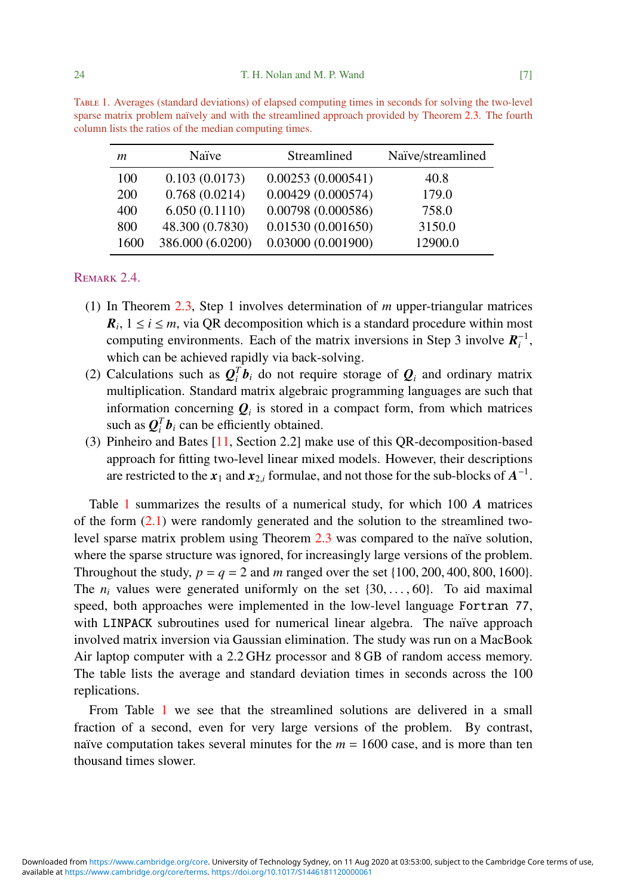| m          | Naïve            | Streamlined       | Naïve/streamlined |
|------------|------------------|-------------------|-------------------|
| 100        | 0.103(0.0173)    | 0.00253(0.000541) | 40.8              |
| <b>200</b> | 0.768(0.0214)    | 0.00429(0.000574) | 179.0             |
| 400        | 6.050(0.1110)    | 0.00798(0.000586) | 758.0             |
| 800        | 48.300 (0.7830)  | 0.01530(0.001650) | 3150.0            |
| 1600       | 386.000 (6.0200) | 0.03000(0.001900) | 12900.0           |

<span id="page-6-1"></span>Table 1. Averages (standard deviations) of elapsed computing times in seconds for solving the two-level sparse matrix problem naïvely and with the streamlined approach provided by Theorem [2.3.](#page-5-0) The fourth column lists the ratios of the median computing times.

# REMARK 2.4.

- (1) In Theorem [2.3,](#page-5-0) Step 1 involves determination of *m* upper-triangular matrices  $R_i$ ,  $1 \le i \le m$ , via QR decomposition which is a standard procedure within most computing environments. Each of the matrix inversions in Step 3 involve  $R_i^{-1}$ , which can be achieved rapidly via back-solving.
- (2) Calculations such as  $Q_i^T b_i$  do not require storage of  $Q_i$  and ordinary matrix multiplication. Standard matrix algebraic programming languages are such that information concerning  $Q_i$  is stored in a compact form, from which matrices such as  $\mathbf{Q}_i^T \mathbf{b}_i$  can be efficiently obtained.
- (3) Pinheiro and Bates [\[11,](#page-23-1) Section 2.2] make use of this QR-decomposition-based approach for fitting two-level linear mixed models. However, their descriptions are restricted to the  $x_1$  and  $x_{2,i}$  formulae, and not those for the sub-blocks of  $A^{-1}$ .

Table [1](#page-6-1) summarizes the results of a numerical study, for which 100 *A* matrices of the form  $(2.1)$  were randomly generated and the solution to the streamlined twolevel sparse matrix problem using Theorem  $2.3$  was compared to the naïve solution, where the sparse structure was ignored, for increasingly large versions of the problem. Throughout the study,  $p = q = 2$  and *m* ranged over the set {100, 200, 400, 800, 1600}. The  $n_i$  values were generated uniformly on the set  $\{30, \ldots, 60\}$ . To aid maximal speed, both approaches were implemented in the low-level language Fortran 77, with LINPACK subroutines used for numerical linear algebra. The naïve approach involved matrix inversion via Gaussian elimination. The study was run on a MacBook Air laptop computer with a 2.2 GHz processor and 8 GB of random access memory. The table lists the average and standard deviation times in seconds across the 100 replications.

<span id="page-6-0"></span>From Table [1](#page-6-1) we see that the streamlined solutions are delivered in a small fraction of a second, even for very large versions of the problem. By contrast, naïve computation takes several minutes for the  $m = 1600$  case, and is more than ten thousand times slower.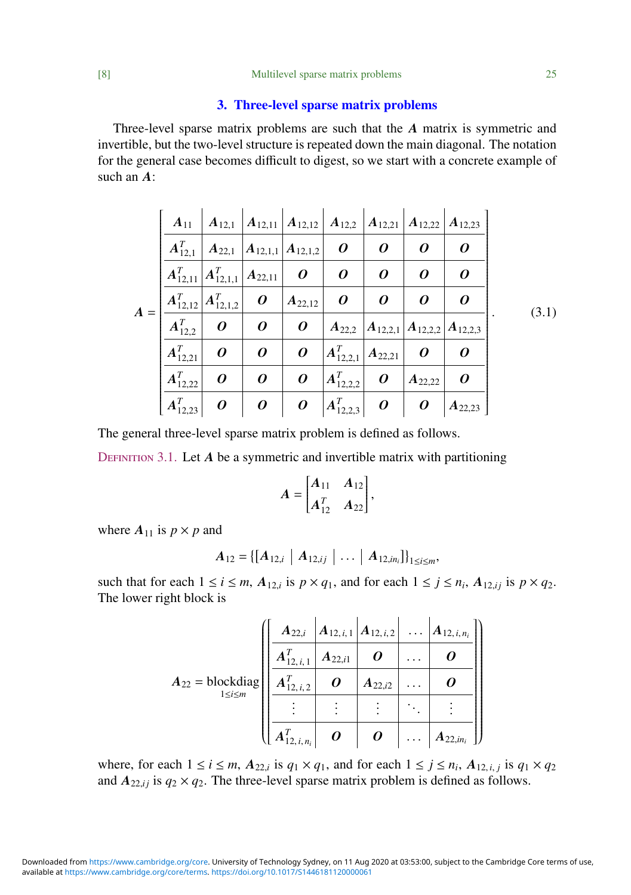#### [8] Multilevel sparse matrix problems 25

## 3. Three-level sparse matrix problems

Three-level sparse matrix problems are such that the *A* matrix is symmetric and invertible, but the two-level structure is repeated down the main diagonal. The notation for the general case becomes difficult to digest, so we start with a concrete example of such an *A*:

<span id="page-7-0"></span>

|       | $A_{11}$                                                |                                | $\mid A_{12,1} \mid A_{12,11} \mid A_{12,12} \mid A_{12,2} \mid A_{12,21} \mid A_{12,22} \mid$ |                  |                               |                                                   |             | $ A_{12,23} $ |       |
|-------|---------------------------------------------------------|--------------------------------|------------------------------------------------------------------------------------------------|------------------|-------------------------------|---------------------------------------------------|-------------|---------------|-------|
| $A =$ | $A_{12,1}^T$                                            | $A_{22,1}$                     | $\left  \bm{A}_{12,1,1} \right  \bm{A}_{12,1,2}$                                               |                  | 0                             | 0                                                 | 0           | 0             |       |
|       | $\left  {\bm{A}}_{12,11}^T \right  {\bm{A}}_{12,1,1}^T$ |                                | $A_{22,11}$                                                                                    |                  | 0                             | 0                                                 | 0           | 0             |       |
|       |                                                         | $A_{12,12}^T   A_{12,1,2}^T  $ | $\boldsymbol{o}$                                                                               | $ A_{22,12} $    | $\boldsymbol{o}$              | 0                                                 | 0           | 0             | (3.1) |
|       | $A_{12,2}^T$                                            | $\boldsymbol{o}$               | $\boldsymbol{\theta}$                                                                          | $\boldsymbol{o}$ |                               | $A_{22,2}$ $A_{12,2,1}$ $A_{12,2,2}$ $A_{12,2,3}$ |             |               |       |
|       | $A_{12,21}^T$                                           | 0                              | 0                                                                                              | 0                | $ A_{12,2,1}^T $              | $A_{22,21}$                                       | 0           | 0             |       |
|       | $A_{12,22}^T$                                           | 0                              | 0                                                                                              | $\boldsymbol{o}$ | $ A_{12,2,2}^T $              | 0                                                 | $A_{22,22}$ | 0             |       |
|       | $(A_{12,23}^T)$                                         | 0                              | $\boldsymbol{\theta}$<br>$\boldsymbol{o}$                                                      |                  | $\left A_{12,2,3}^{T}\right $ | $\boldsymbol{\theta}$                             | 0           | $A_{22,23}$   |       |

The general three-level sparse matrix problem is defined as follows.

<span id="page-7-1"></span>DEFINITION 3.1. Let *A* be a symmetric and invertible matrix with partitioning

$$
A = \begin{bmatrix} A_{11} & A_{12} \\ A_{12}^T & A_{22} \end{bmatrix},
$$

where  $A_{11}$  is  $p \times p$  and

$$
A_{12} = \{ [A_{12,i} \mid A_{12,ij} \mid \ldots \mid A_{12,in_i} \}]_{1 \le i \le m},
$$

such that for each  $1 \le i \le m$ ,  $A_{12,i}$  is  $p \times q_1$ , and for each  $1 \le j \le n_i$ ,  $A_{12,ij}$  is  $p \times q_2$ .<br>The letter right block is The lower right block is

|                                                                        | $A_{22,i}$         |             | $A_{12,i,1}   A_{12,i,2}   \ldots$ | $A_{12, i, n_i}$ |  |
|------------------------------------------------------------------------|--------------------|-------------|------------------------------------|------------------|--|
|                                                                        | $A_{12,i,1}^T$     | $A_{22,i1}$ |                                    |                  |  |
| $A_{22} = \text{blockdiag}$<br>$\left  \sum_{1 \leq i \leq m} \right $ | $A_{12,i,2}^{T}$   | 0           | $A_{22,i2}$                        |                  |  |
|                                                                        |                    |             |                                    |                  |  |
|                                                                        | $(A_{12,i,n_i}^T)$ | 0           | $\boldsymbol{o}$                   | $A_{22,in_i}$    |  |

where, for each  $1 \le i \le m$ ,  $A_{22,i}$  is  $q_1 \times q_1$ , and for each  $1 \le j \le n_i$ ,  $A_{12,i,j}$  is  $q_1 \times q_2$ <br>and  $A$  is  $q_1 \times q_2$ . The three layel energy matrix problem is defined as follows and  $A_{22, i j}$  is  $q_2 \times q_2$ . The three-level sparse matrix problem is defined as follows.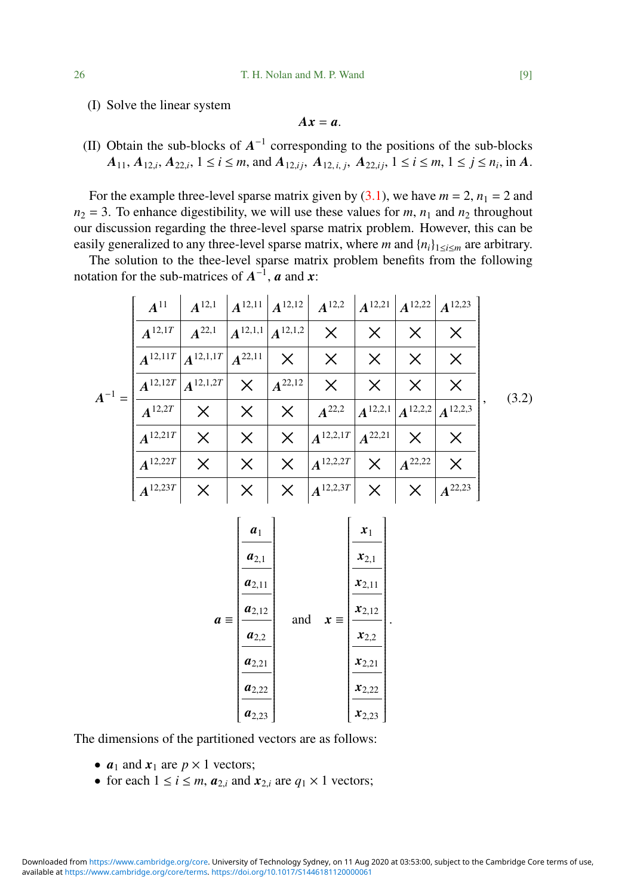(I) Solve the linear system

$$
Ax=a.
$$

(II) Obtain the sub-blocks of  $A^{-1}$  corresponding to the positions of the sub-blocks  $A_{11}, A_{12,i}, A_{22,i}, 1 \le i \le m$ , and  $A_{12,ij}, A_{12,i,j}, A_{22,ij}, 1 \le i \le m, 1 \le j \le n_i$ , in A.

For the example three-level sparse matrix given by  $(3.1)$ , we have  $m = 2$ ,  $n_1 = 2$  and  $n_2 = 3$ . To enhance digestibility, we will use these values for *m*,  $n_1$  and  $n_2$  throughout our discussion regarding the three-level sparse matrix problem. However, this can be easily generalized to any three-level sparse matrix, where *m* and  $\{n_i\}_{1 \le i \le m}$  are arbitrary.

The solution to the thee-level sparse matrix problem benefits from the following notation for the sub-matrices of  $A^{-1}$ , *a* and *x*:

<span id="page-8-0"></span>

|            | $A^{11}$     | $A^{12,1}$                             | $\ A^{12,11}\ A^{12,12}\ $             |                    | $A^{12,2}$ $A^{12,21}$ $A^{12,22}$ $A^{12,23}$                                                  |          |                                                                  |             |
|------------|--------------|----------------------------------------|----------------------------------------|--------------------|-------------------------------------------------------------------------------------------------|----------|------------------------------------------------------------------|-------------|
| $A^{-1} =$ | $A^{12,1T}$  | $A^{22,1}$                             | $\left  A^{12,1,1} \right  A^{12,1,2}$ |                    | $\times$                                                                                        | $\times$ |                                                                  | $\times$    |
|            |              | $A^{12,11T}$ $A^{12,1,1T}$ $A^{22,11}$ |                                        | $\times$           | $\times$                                                                                        | $\times$ | X                                                                | $\times$    |
|            |              | $A^{12,12T}$ $A^{12,1,2T}$             |                                        | $X \mid A^{22,12}$ | $\times$                                                                                        | $\times$ | X                                                                | X           |
|            | $A^{12,2T}$  | $\mathsf{X}$                           | $\times$                               | $\times$           | $A^{22,2}$                                                                                      |          | $\left  A^{12,2,1} \right  A^{12,2,2} \left  A^{12,2,3} \right $ |             |
|            | $A^{12,21T}$ | X                                      | $\times$                               | $\times$           | $\left  {\bm{A}^{12,2,1T}} \right  {\bm{A}^{22,21}}$                                            |          | X                                                                | $\times$    |
|            | $A^{12,22T}$ | $\times$                               | $\times$                               | $\times$           | $ A^{12,2,2T} $                                                                                 | $\times$ | $A^{22,22}$                                                      | $\times$    |
|            | $A^{12,23T}$ |                                        | $\times$                               |                    | $\parallel \boldsymbol{\times} \parallel_{A^{12,2,3T}} \parallel \boldsymbol{\times} \parallel$ |          | $\mathbf{X}^{\top}$                                              | $A^{22,23}$ |

$$
a = \begin{bmatrix} a_1 \\ a_{2,1} \\ \hline a_{2,1} \\ \hline a_{2,11} \\ \hline a_{2,2} \\ \hline a_{2,2} \\ \hline a_{2,22} \\ \hline a_{2,23} \end{bmatrix} \quad \text{and} \quad x = \begin{bmatrix} x_1 \\ x_{2,1} \\ \hline x_{2,11} \\ \hline x_{2,12} \\ \hline x_{2,22} \\ \hline x_{2,21} \\ \hline x_{2,22} \\ \hline x_{2,23} \end{bmatrix}.
$$

The dimensions of the partitioned vectors are as follows:

- $a_1$  and  $x_1$  are  $p \times 1$  vectors;
- for each  $1 \le i \le m$ ,  $a_{2,i}$  and  $x_{2,i}$  are  $q_1 \times 1$  vectors;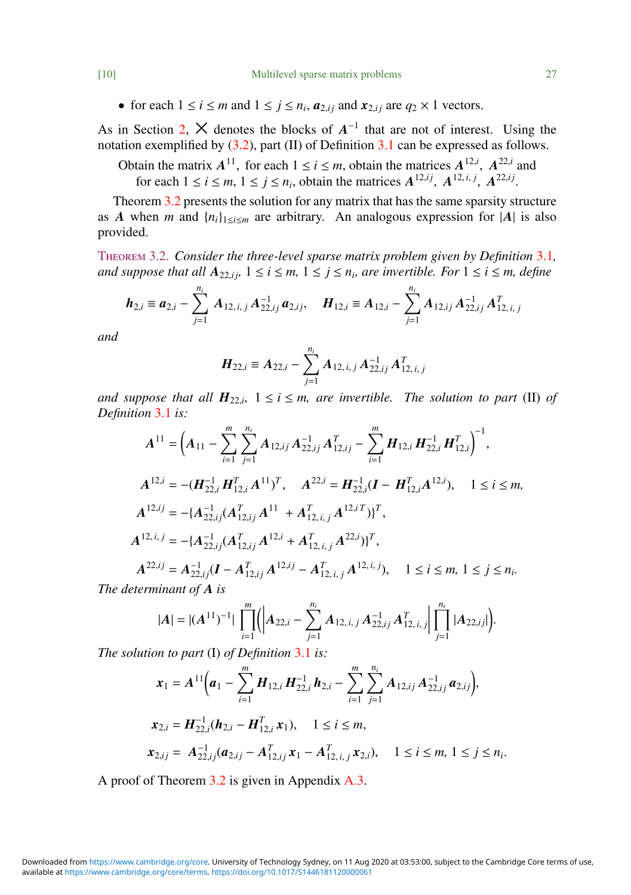• for each  $1 \le i \le m$  and  $1 \le j \le n_i$ ,  $a_{2,ij}$  and  $x_{2,ij}$  are  $q_2 \times 1$  vectors.

As in Section [2,](#page-2-0)  $\times$  denotes the blocks of  $A^{-1}$  that are not of interest. Using the notation exemplified by [\(3.2\)](#page-8-0), part (II) of Definition [3.1](#page-7-1) can be expressed as follows.

Obtain the matrix  $A^{11}$ , for each  $1 \le i \le m$ , obtain the matrices  $A^{12,i}$ ,  $A^{22,i}$  and tain the matrix  $A^{11}$ , for each  $1 \le i \le m$ , obtain the matrices  $A^{12,i}$ ,  $A^{22,i}$ <br>for each  $1 \le i \le m$ ,  $1 \le j \le n_i$ , obtain the matrices  $A^{12,ij}$ ,  $A^{12,i,j}$ ,  $A^{22,ij}$ 

. Theorem [3.2](#page-9-0) presents the solution for any matrix that has the same sparsity structure as *A* when *m* and  $\{n_i\}_{1 \le i \le m}$  are arbitrary. An analogous expression for  $|A|$  is also provided.

<span id="page-9-0"></span>Theorem 3.2. *Consider the three-level sparse matrix problem given by Definition* [3.1](#page-7-1)*, and suppose that all*  $A_{22,ij}$ ,  $1 \le i \le m$ ,  $1 \le j \le n$ , are invertible. For  $1 \le i \le m$ , define

$$
\boldsymbol{h}_{2,i} \equiv \boldsymbol{a}_{2,i} - \sum_{j=1}^{n_i} \boldsymbol{A}_{12,i,j} \boldsymbol{A}_{22,ij}^{-1} \boldsymbol{a}_{2,ij}, \quad \boldsymbol{H}_{12,i} \equiv \boldsymbol{A}_{12,i} - \sum_{j=1}^{n_i} \boldsymbol{A}_{12,ij} \boldsymbol{A}_{22,ij}^{-1} \boldsymbol{A}_{12,i,j}^T
$$

*and*

$$
\boldsymbol{H}_{22,i} \equiv \boldsymbol{A}_{22,i} - \sum_{j=1}^{n_i} \boldsymbol{A}_{12,i,j} \boldsymbol{A}_{22,ij}^{-1} \boldsymbol{A}_{12,i,j}^T
$$

*and suppose that all*  $H_{22,i}$ ,  $1 \le i \le m$ , are invertible. The solution to part (II) of Definition 3.1 is: *Definition* [3.1](#page-7-1) *is:*

$$
A^{11} = \left(A_{11} - \sum_{i=1}^{m} \sum_{j=1}^{n_i} A_{12,ij} A_{22,ij}^{-1} A_{12,ij}^T - \sum_{i=1}^{m} H_{12,i} H_{22,i}^{-1} H_{12,i}^T \right)^{-1},
$$
  
\n
$$
A^{12,i} = -(H_{22,i}^{-1} H_{12,i}^T A^{11})^T, \quad A^{22,i} = H_{22,i}^{-1} (I - H_{12,i}^T A^{12,i}), \quad 1 \le i \le m,
$$
  
\n
$$
A^{12,ij} = -(A_{22,ij}^{-1} (A_{12,ij}^T A^{11} + A_{12,i,j}^T A^{12,i} T))^T,
$$
  
\n
$$
A^{12,i,j} = -(A_{22,ij}^{-1} (A_{12,ij}^T A^{12,i} + A_{12,i,j}^T A^{22,i})^T,
$$
  
\n
$$
A^{22,ij} = A_{22,ij}^{-1} (I - A_{12,ij}^T A^{12,ij} - A_{12,i,j}^T A^{12,i,j}), \quad 1 \le i \le m, 1 \le j \le n_i.
$$
  
\nThe determinant of A is

$$
|A| = |(A^{11})^{-1}| \prod_{i=1}^{m} (|A_{22,i}-\sum_{j=1}^{n_i} A_{12,i,j} A_{22,ij}^{-1} A_{12,i,j}^T| \prod_{j=1}^{n_i} |A_{22,ij}|).
$$

*The solution to part* (I) *of Definition* [3.1](#page-7-1) *is:*

$$
\mathbf{x}_{1} = A^{11} \Big( \mathbf{a}_{1} - \sum_{i=1}^{m} \mathbf{H}_{12,i} \mathbf{H}_{22,i}^{-1} \mathbf{h}_{2,i} - \sum_{i=1}^{m} \sum_{j=1}^{n_{i}} A_{12,ij} A_{22,ij}^{-1} \mathbf{a}_{2,jj} \Big),
$$
  
\n
$$
\mathbf{x}_{2,i} = \mathbf{H}_{22,i}^{-1} (\mathbf{h}_{2,i} - \mathbf{H}_{12,i}^{T} \mathbf{x}_{1}), \quad 1 \leq i \leq m,
$$
  
\n
$$
\mathbf{x}_{2,ij} = A_{22,ij}^{-1} (\mathbf{a}_{2,ij} - A_{12,ij}^{T} \mathbf{x}_{1} - A_{12,i,j}^{T} \mathbf{x}_{2,i}), \quad 1 \leq i \leq m, 1 \leq j \leq n_{i}.
$$

A proof of Theorem [3.2](#page-9-0) is given in Appendix [A.3.](#page-16-0)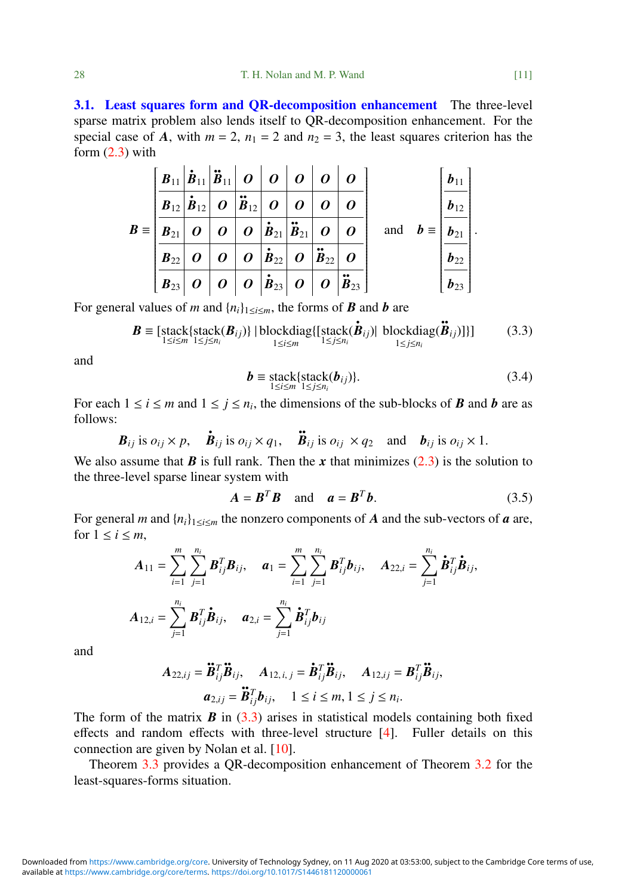3.1. Least squares form and QR-decomposition enhancement The three-level sparse matrix problem also lends itself to QR-decomposition enhancement. For the special case of *A*, with  $m = 2$ ,  $n_1 = 2$  and  $n_2 = 3$ , the least squares criterion has the form  $(2.3)$  with

|                     | $\mid \textbf{\textit{B}}_{11}\big \bm{\ddot{\textit{B}}}_{11}\big \bm{\ddot{\textit{B}}}_{11}\big $ $\bm{o} \mid \bm{o} \mid \bm{o} \mid \bm{o}$                                                                                                                                                                                                                                                         |                  |                  |                                                                                                                                                                              |                  |                                                                                                                                                                                           | $\boldsymbol{o}$ |                                                   | $b_{11}$      |
|---------------------|-----------------------------------------------------------------------------------------------------------------------------------------------------------------------------------------------------------------------------------------------------------------------------------------------------------------------------------------------------------------------------------------------------------|------------------|------------------|------------------------------------------------------------------------------------------------------------------------------------------------------------------------------|------------------|-------------------------------------------------------------------------------------------------------------------------------------------------------------------------------------------|------------------|---------------------------------------------------|---------------|
|                     | $B_{12} \dot{B}_{12} $ $O$ $ \ddot{B}_{12} $ $O$                                                                                                                                                                                                                                                                                                                                                          |                  |                  |                                                                                                                                                                              | $\boldsymbol{o}$ | $\boldsymbol{o}$                                                                                                                                                                          | $\boldsymbol{o}$ |                                                   | $b_{12}$      |
| $B \equiv  B_{21} $ |                                                                                                                                                                                                                                                                                                                                                                                                           | $\boldsymbol{o}$ | $\boldsymbol{o}$ | $\boldsymbol{O} \hspace{0.2cm} \boldsymbol{\left  \boldsymbol{\dot{B}}_{21} \right  \boldsymbol{\ddot{B}}_{21}} \hspace{0.2cm} \boldsymbol{\left  \right.} \ \boldsymbol{O}$ |                  |                                                                                                                                                                                           | $\boldsymbol{o}$ | and $\boldsymbol{b} \equiv  \boldsymbol{b}_{21} $ |               |
|                     | $B_{22}$                                                                                                                                                                                                                                                                                                                                                                                                  | $\boldsymbol{o}$ | $\boldsymbol{o}$ |                                                                                                                                                                              |                  | $\boldsymbol{O} \hspace{0.2cm} \boldsymbol{\left  \boldsymbol{\dot{B}}_{22} \right } \hspace{0.2cm} \boldsymbol{O} \hspace{0.2cm} \boldsymbol{\left  \boldsymbol{\ddot{B}}_{22} \right }$ | $\boldsymbol{o}$ |                                                   | $b_{22}$      |
|                     | $\begin{array}{ c c c c c } \hline \rule{0pt}{1ex} \rule{0pt}{1ex} \rule{0pt}{1ex} \rule{0pt}{1ex} \rule{0pt}{1ex} \rule{0pt}{1ex} \rule{0pt}{1ex} \rule{0pt}{1ex} \rule{0pt}{1ex} \rule{0pt}{1ex} \rule{0pt}{1ex} \rule{0pt}{1ex} \rule{0pt}{1ex} \rule{0pt}{1ex} \rule{0pt}{1ex} \rule{0pt}{1ex} \rule{0pt}{1ex} \rule{0pt}{1ex} \rule{0pt}{1ex} \rule{0pt}{1ex} \rule{0pt}{1ex} \rule{0pt}{1ex} \rule$ |                  |                  |                                                                                                                                                                              |                  |                                                                                                                                                                                           |                  |                                                   | $\bm{b}_{23}$ |

For general values of *m* and  $\{n_i\}_{1 \le i \le m}$ , the forms of *B* and *b* are

<span id="page-10-0"></span>
$$
\boldsymbol{B} \equiv \left[ \text{stack} \{ \text{stack}(K(\boldsymbol{B}_{ij})) \mid \text{blockdiag} \{ \left[ \text{stack} (\boldsymbol{B}_{ij}) \right] \mid \text{blockdiag} \{ \left[ \text{stack} (\boldsymbol{B}_{ij}) \right] \mid \text{blockdiag} (\boldsymbol{B}_{ij}) \} \right] \} \tag{3.3}
$$

and

$$
\boldsymbol{b} \equiv \operatorname{stack} {\{ \text{stack}(} \{ \text{stack}(b_{ij}) \}. } \tag{3.4}
$$

For each  $1 \le i \le m$  and  $1 \le j \le n_i$ , the dimensions of the sub-blocks of *B* and *b* are as follows:

$$
\mathbf{B}_{ij}
$$
 is  $o_{ij} \times p$ ,  $\dot{\mathbf{B}}_{ij}$  is  $o_{ij} \times q_1$ ,  $\ddot{\mathbf{B}}_{ij}$  is  $o_{ij} \times q_2$  and  $\mathbf{b}_{ij}$  is  $o_{ij} \times 1$ .

We also assume that  $\bm{B}$  is full rank. Then the  $\bm{x}$  that minimizes  $(2.3)$  is the solution to the three-level sparse linear system with

<span id="page-10-1"></span>
$$
A = BTB \text{ and } a = BTb.
$$
 (3.5)

For general *m* and  $\{n_i\}_{1 \le i \le m}$  the nonzero components of *A* and the sub-vectors of *a* are, for  $1 \leq i \leq m$ ,

$$
A_{11} = \sum_{i=1}^{m} \sum_{j=1}^{n_i} B_{ij}^T B_{ij}, \quad a_1 = \sum_{i=1}^{m} \sum_{j=1}^{n_i} B_{ij}^T b_{ij}, \quad A_{22,i} = \sum_{j=1}^{n_i} \dot{B}_{ij}^T \dot{B}_{ij},
$$

$$
A_{12,i} = \sum_{j=1}^{n_i} B_{ij}^T \dot{B}_{ij}, \quad a_{2,i} = \sum_{j=1}^{n_i} \dot{B}_{ij}^T b_{ij}
$$

and

$$
A_{22,ij} = \mathbf{B}_{ij}^T \mathbf{B}_{ij}, \quad A_{12,i,j} = \mathbf{B}_{ij}^T \mathbf{B}_{ij}, \quad A_{12,ij} = \mathbf{B}_{ij}^T \mathbf{B}_{ij},
$$

$$
a_{2,ij} = \mathbf{B}_{ij}^T \mathbf{b}_{ij}, \quad 1 \le i \le m, 1 \le j \le n_i.
$$

The form of the matrix  $\bm{B}$  in [\(3.3\)](#page-10-0) arises in statistical models containing both fixed effects and random effects with three-level structure [\[4\]](#page-22-0). Fuller details on this connection are given by Nolan et al. [\[10\]](#page-22-7).

Theorem [3.3](#page-11-0) provides a QR-decomposition enhancement of Theorem [3.2](#page-9-0) for the least-squares-forms situation.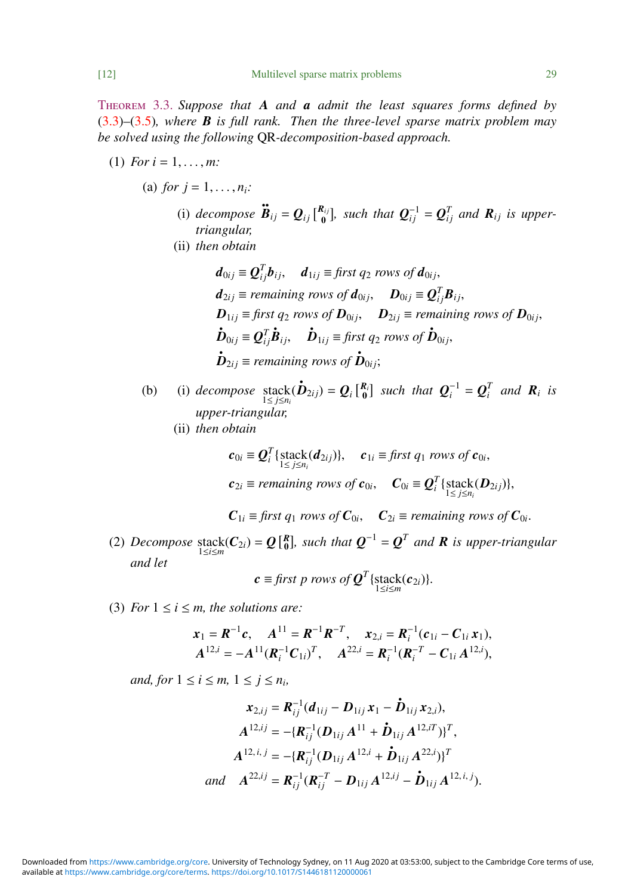<span id="page-11-0"></span>Theorem 3.3. *Suppose that A and a admit the least squares forms defined by* [\(3.3\)](#page-10-0)–[\(3.5\)](#page-10-1)*, where B is full rank. Then the three-level sparse matrix problem may be solved using the following* QR*-decomposition-based approach.*

- (1) *For*  $i = 1, ..., m$ :
	- (a) *for*  $i = 1, ..., n_i$ *:* 
		- (i) *decompose*  $\ddot{\mathbf{B}}_{ij} = \mathbf{Q}_{ij} \begin{bmatrix} R_{ij} \\ 0 \end{bmatrix}$  $\mathbf{Q}_{ij}^{R_{ij}}$ , such that  $\mathbf{Q}_{ij}^{-1} = \mathbf{Q}_{ij}^T$  and  $\mathbf{R}_{ij}$  is upper*triangular,*
		- (ii) *then obtain*
			- $d_{0ij} \equiv \mathbf{Q}_{ij}^T \mathbf{b}_{ij}$ ,  $d_{1ij} \equiv \text{first } q_2 \text{ rows of } \mathbf{d}_{0ij}$ ,  $d_{2ij} \equiv$  *remaining rows of*  $d_{0ij}$ ,  $D_{0ij} \equiv Q_{ij}^T B_{ij}$ ,  $D_{1ij} \equiv$  *first q<sub>2</sub> rows of*  $D_{0ij}$ ,  $D_{2ij} \equiv$  *remaining rows of*  $D_{0ij}$ ,  $\boldsymbol{\dot{D}}_{0ij} \equiv \boldsymbol{Q}_{ij}^T$  $\dot{\mathbf{B}}_{ij}$ ,  $\dot{\mathbf{D}}_{1ij} \equiv \text{first } q_2 \text{ rows of } \dot{\mathbf{D}}_{0ij}$ ,  $\boldsymbol{\dot{D}}_{2ij}$   $\equiv$  *remaining rows of*  $\boldsymbol{\dot{D}}_{0ij}$ ;
	- (b) (i) decompose stack $(\mathbf{\dot{D}}_{2ij}) = Q_i \begin{bmatrix} R_i \\ 0 \end{bmatrix}$  such that  $Q_i^{-1} = Q_i^T$  and  $R_i$  is *upper-triangular,*
		- (ii) *then obtain*

$$
\mathbf{c}_{0i} \equiv \mathbf{Q}_i^T \{\text{stack}(d_{2ij})\}, \quad \mathbf{c}_{1i} \equiv \text{first } q_1 \text{ rows of } \mathbf{c}_{0i},
$$
\n
$$
\mathbf{c}_{2i} \equiv \text{remaining rows of } \mathbf{c}_{0i}, \quad \mathbf{C}_{0i} \equiv \mathbf{Q}_i^T \{\text{stack}(\mathbf{D}_{2ij})\},
$$

$$
C_{1i} \equiv \text{first } q_1 \text{ rows of } C_{0i}, \quad C_{2i} \equiv \text{remaining rows of } C_{0i}.
$$

(2) *Decompose* stack $(C_{2i}) = Q[{R \atop 0}]$ , such that  $Q^{-1} = Q^{T}$  and **R** is upper-triangular *and let*

$$
\mathbf{c} \equiv \text{first } p \text{ rows of } \mathbf{Q}^T \{ \text{stack}(\mathbf{c}_{2i}) \}.
$$

(3) *For*  $1 \le i \le m$ *, the solutions are:* 

$$
\mathbf{x}_1 = \mathbf{R}^{-1}\mathbf{c}, \quad \mathbf{A}^{11} = \mathbf{R}^{-1}\mathbf{R}^{-T}, \quad \mathbf{x}_{2,i} = \mathbf{R}_i^{-1}(\mathbf{c}_{1i} - \mathbf{C}_{1i}\,\mathbf{x}_1), \n\mathbf{A}^{12,i} = -\mathbf{A}^{11}(\mathbf{R}_i^{-1}\mathbf{C}_{1i})^T, \quad \mathbf{A}^{22,i} = \mathbf{R}_i^{-1}(\mathbf{R}_i^{-T} - \mathbf{C}_{1i}\,\mathbf{A}^{12,i}),
$$

*and, for*  $1 \leq i \leq m$ ,  $1 \leq j \leq n_i$ ,

$$
\mathbf{x}_{2,ij} = \mathbf{R}_{ij}^{-1} (\mathbf{d}_{1ij} - \mathbf{D}_{1ij} \mathbf{x}_1 - \mathbf{D}_{1ij} \mathbf{x}_{2,i}),
$$
  
\n
$$
A^{12,ij} = -\{\mathbf{R}_{ij}^{-1} (\mathbf{D}_{1ij} A^{11} + \mathbf{D}_{1ij} A^{12,iT})\}^T,
$$
  
\n
$$
A^{12,i,j} = -\{\mathbf{R}_{ij}^{-1} (\mathbf{D}_{1ij} A^{12,i} + \mathbf{D}_{1ij} A^{22,i})\}^T
$$
  
\nand 
$$
A^{22,ij} = \mathbf{R}_{ij}^{-1} (\mathbf{R}_{ij}^{-T} - \mathbf{D}_{1ij} A^{12,ij} - \mathbf{D}_{1ij} A^{12,i,j}).
$$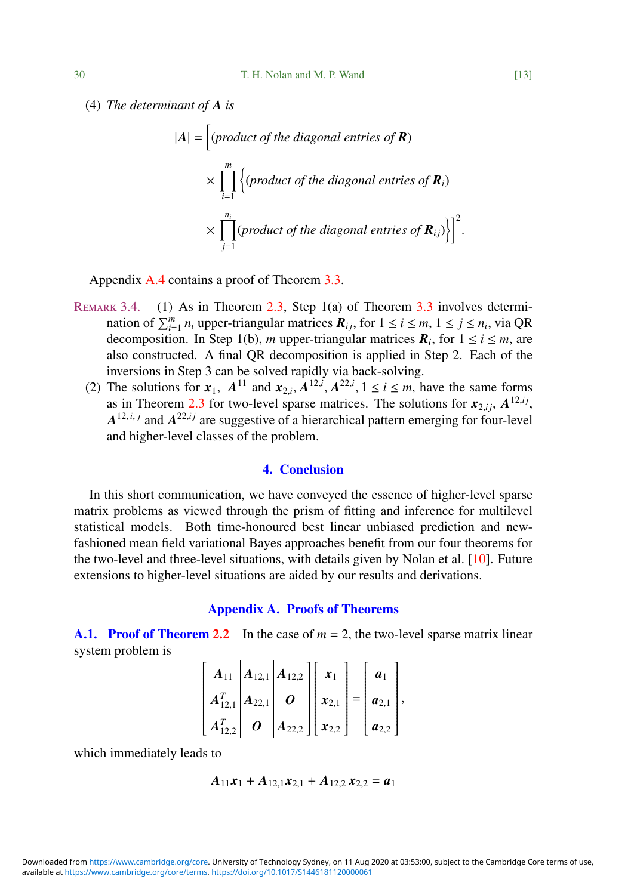(4) *The determinant of A is*

$$
|A| = \left[ \text{(product of the diagonal entries of } \mathbf{R}) \times \prod_{i=1}^{m} \left\{ \text{(product of the diagonal entries of } \mathbf{R}_i \right) \times \prod_{j=1}^{n_i} \left\{ \text{(product of the diagonal entries of } \mathbf{R}_i) \right\} \right]^2
$$

Appendix [A.4](#page-19-0) contains a proof of Theorem [3.3.](#page-11-0)

- REMARK 3.4. (1) As in Theorem [2.3,](#page-5-0) Step 1(a) of Theorem [3.3](#page-11-0) involves determination of  $\sum_{i=1}^{m} n_i$  upper-triangular matrices  $\mathbf{R}_{ij}$ , for  $1 \le i \le m$ ,  $1 \le j \le n_i$ , via QR decomposition. In Step 1(b), *m* upper-triangular matrices  $\mathbf{R}_i$ , for  $1 \le i \le m$ , are also constructed. A final QR decomposition is applied in Step 2. Each of the inversions in Step 3 can be solved rapidly via back-solving.
	- (2) The solutions for  $x_1$ ,  $A^{11}$  and  $x_{2,i}$ ,  $A^{12,i}$ ,  $A^{22,i}$ ,  $1 \le i \le m$ , have the same forms as in Theorem 2.3 for two-level sparse matrices. The solutions for  $x_2$ .  $A^{12,i}$ as in Theorem [2.3](#page-5-0) for two-level sparse matrices. The solutions for  $x_{2,ij}$ ,  $A^{12,ij}$ ,  $A^{12,ij}$  are suggestive of a hierarchical pattern emerging for four-level <sup>12</sup>,*i j* , and higher-level classes of the problem.

## 4. Conclusion

<span id="page-12-0"></span>In this short communication, we have conveyed the essence of higher-level sparse matrix problems as viewed through the prism of fitting and inference for multilevel statistical models. Both time-honoured best linear unbiased prediction and newfashioned mean field variational Bayes approaches benefit from our four theorems for the two-level and three-level situations, with details given by Nolan et al. [\[10\]](#page-22-7). Future extensions to higher-level situations are aided by our results and derivations.

## Appendix A. Proofs of Theorems

<span id="page-12-2"></span><span id="page-12-1"></span>**A.1. Proof of Theorem [2.2](#page-3-1)** In the case of  $m = 2$ , the two-level sparse matrix linear system problem is

$$
\left[\begin{array}{c|c}\n\mathbf{A}_{11} & \mathbf{A}_{12,1} & \mathbf{A}_{12,2} \\
\hline\n\mathbf{A}_{12,1}^T & \mathbf{A}_{22,1} & \mathbf{0} \\
\hline\n\mathbf{A}_{12,2}^T & \mathbf{0} & \mathbf{A}_{22,2}\n\end{array}\right]\n\left[\begin{array}{c}\n\mathbf{x}_1 \\
\mathbf{x}_2 \\
\hline\n\mathbf{x}_2\n\end{array}\right] = \n\left[\begin{array}{c}\n\mathbf{a}_1 \\
\mathbf{a}_{2,1} \\
\hline\n\mathbf{a}_{2,2}\n\end{array}\right],
$$

which immediately leads to

$$
A_{11}x_1 + A_{12,1}x_{2,1} + A_{12,2}x_{2,2} = a_1
$$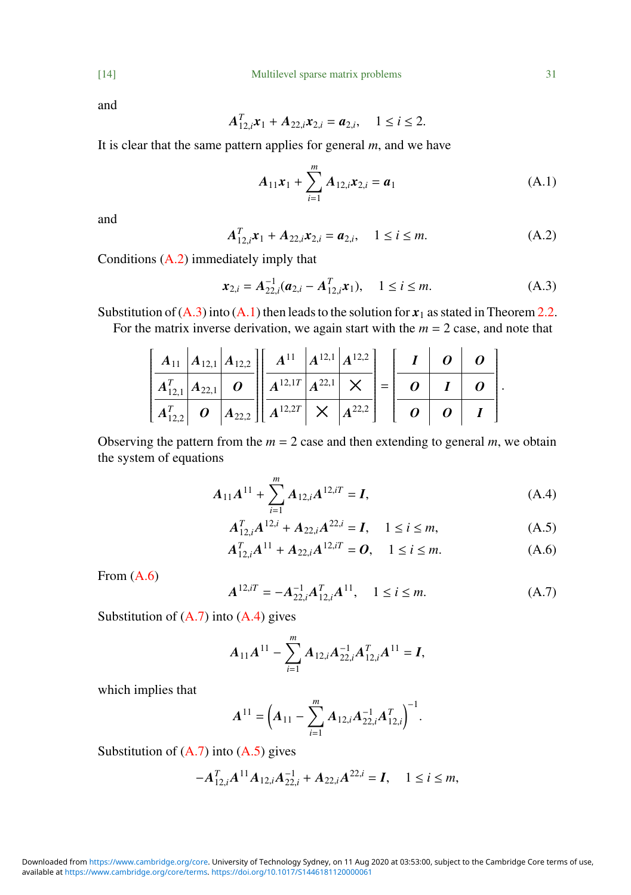and

$$
A_{12,i}^T \mathbf{x}_1 + A_{22,i} \mathbf{x}_{2,i} = \mathbf{a}_{2,i}, \quad 1 \le i \le 2.
$$

It is clear that the same pattern applies for general *m*, and we have

<span id="page-13-2"></span>
$$
A_{11}x_1 + \sum_{i=1}^m A_{12,i}x_{2,i} = a_1
$$
 (A.1)

and

<span id="page-13-0"></span>
$$
A_{12,i}^T x_1 + A_{22,i} x_{2,i} = a_{2,i}, \quad 1 \le i \le m.
$$
 (A.2)

Conditions  $(A.2)$  immediately imply that

<span id="page-13-1"></span>
$$
\boldsymbol{x}_{2,i} = A_{22,i}^{-1}(\boldsymbol{a}_{2,i} - A_{12,i}^T \boldsymbol{x}_1), \quad 1 \le i \le m.
$$
 (A.3)

Substitution of  $(A.3)$  into  $(A.1)$  then leads to the solution for  $x_1$  as stated in Theorem [2.2.](#page-3-1)

For the matrix inverse derivation, we again start with the  $m = 2$  case, and note that

|  |  | $\left[ \begin{array}{c c} A_{11} & A_{12,1} & A_{12,2} \end{array} \right] \left[ \begin{array}{c c} A^{11} & A^{12,1} & A^{12,2} \end{array} \right] \left[ \begin{array}{c c} I & O & O \end{array} \right]$                                                                                                                                                                                                                                                                                                                                        |  |  |  |  |
|--|--|--------------------------------------------------------------------------------------------------------------------------------------------------------------------------------------------------------------------------------------------------------------------------------------------------------------------------------------------------------------------------------------------------------------------------------------------------------------------------------------------------------------------------------------------------------|--|--|--|--|
|  |  | $\left  A^T_{12,1} \right  A_{22,1} \left  \left  O \right  \left  A^{12,1T} \right  A^{22,1} \right  \times \left  = \left  \left  O \right  \left  I \right  \right  O \right .$                                                                                                                                                                                                                                                                                                                                                                     |  |  |  |  |
|  |  | $\left\lfloor \left. A^T_{12,2} \right\rfloor \right\rfloor \left. O \right. \left. \left. \left. \left. \right  A_{22,2} \right\rfloor \right\rfloor \left. \left. \right  \left. \right  \left. \right  \left. \right  \left. \right  \left. \right  \left. \right  \left. \right  \left. \right  \left. \right  \left. \right  \left. \right  \left. \right  \left. \right  \left. \right  \left. \right  \left. \right  \left. \right  \left. \right  \left. \right  \left. \right  \left. \right  \left. \right  \left. \right  \left. \right  \$ |  |  |  |  |

Observing the pattern from the  $m = 2$  case and then extending to general  $m$ , we obtain the system of equations

$$
A_{11}A^{11} + \sum_{i=1}^{m} A_{12,i}A^{12,i} = I,
$$
 (A.4)

<span id="page-13-5"></span>
$$
A_{12,i}^T A^{12,i} + A_{22,i} A^{22,i} = I, \quad 1 \le i \le m,
$$
\n(A.5)

<span id="page-13-6"></span><span id="page-13-3"></span>
$$
A_{12,i}^T A^{11} + A_{22,i} A^{12,i} = 0, \quad 1 \le i \le m.
$$
 (A.6)

From [\(A.6\)](#page-13-3)

<span id="page-13-4"></span>
$$
A^{12,i} = -A_{22,i}^{-1} A_{12,i}^{T} A^{11}, \quad 1 \le i \le m.
$$
 (A.7)

Substitution of  $(A.7)$  into  $(A.4)$  gives

$$
A_{11}A^{11}-\sum_{i=1}^m A_{12,i}A_{22,i}^{-1}A_{12,i}^T A^{11}=I,
$$

which implies that

$$
A^{11} = \left(A_{11} - \sum_{i=1}^{m} A_{12,i} A_{22,i}^{-1} A_{12,i}^{T}\right)^{-1}.
$$

Substitution of  $(A.7)$  into  $(A.5)$  gives

$$
-A_{12,i}^T A^{11} A_{12,i} A_{22,i}^{-1} + A_{22,i} A^{22,i} = I, \quad 1 \le i \le m,
$$

available at <https://www.cambridge.org/core/terms>.<https://doi.org/10.1017/S1446181120000061> Downloaded from [https://www.cambridge.org/core.](https://www.cambridge.org/core) University of Technology Sydney, on 11 Aug 2020 at 03:53:00, subject to the Cambridge Core terms of use,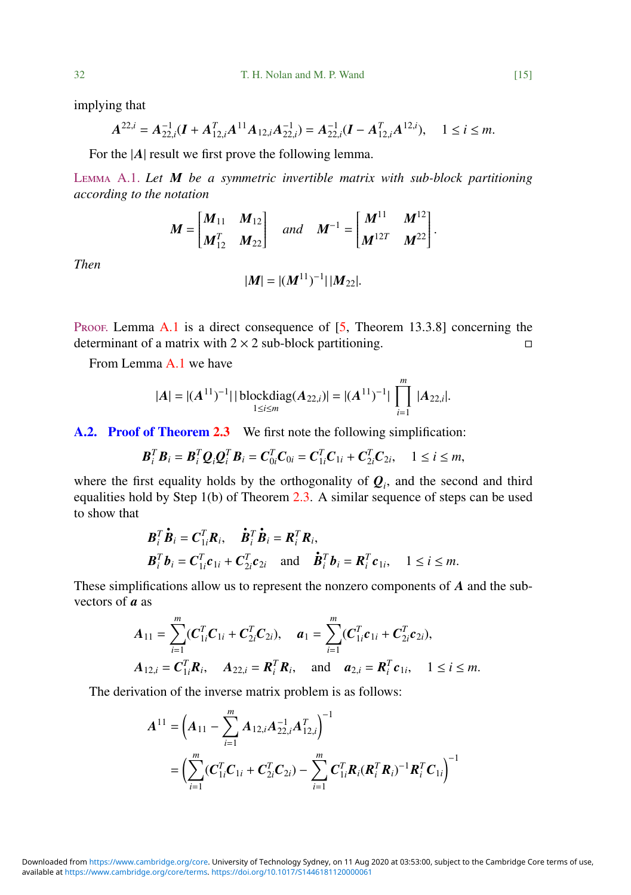implying that

$$
A^{22,i} = A_{22,i}^{-1}(\boldsymbol{I} + A_{12,i}^T A^{11} A_{12,i} A_{22,i}^{-1}) = A_{22,i}^{-1}(\boldsymbol{I} - A_{12,i}^T A^{12,i}), \quad 1 \le i \le m.
$$

For the  $|A|$  result we first prove the following lemma.

<span id="page-14-1"></span>Lemma A.1. *Let M be a symmetric invertible matrix with sub-block partitioning according to the notation*

$$
M = \begin{bmatrix} M_{11} & M_{12} \\ M_{12}^T & M_{22} \end{bmatrix} \quad and \quad M^{-1} = \begin{bmatrix} M^{11} & M^{12} \\ M^{12T} & M^{22} \end{bmatrix}
$$

*Then*

$$
|\bm{M}| = |(\bm{M}^{11})^{-1}| |\bm{M}_{22}|.
$$

PROOF. Lemma  $A.1$  is a direct consequence of  $[5,$  Theorem 13.3.8] concerning the determinant of a matrix with  $2 \times 2$  sub-block partitioning.

From Lemma [A.1](#page-14-1) we have

$$
|A| = |(A^{11})^{-1}| |\text{blockdiag}(A_{22,i})| = |(A^{11})^{-1}| \prod_{i=1}^{m} |A_{22,i}|.
$$

<span id="page-14-0"></span>A.2. Proof of Theorem [2.3](#page-5-0) We first note the following simplification:

$$
\boldsymbol{B}_i^T \boldsymbol{B}_i = \boldsymbol{B}_i^T \boldsymbol{Q}_i \boldsymbol{Q}_i^T \boldsymbol{B}_i = \boldsymbol{C}_{0i}^T \boldsymbol{C}_{0i} = \boldsymbol{C}_{1i}^T \boldsymbol{C}_{1i} + \boldsymbol{C}_{2i}^T \boldsymbol{C}_{2i}, \quad 1 \leq i \leq m,
$$

where the first equality holds by the orthogonality of  $Q_i$ , and the second and third equalities hold by Step 1(b) of Theorem [2.3.](#page-5-0) A similar sequence of steps can be used to show that

$$
\boldsymbol{B}_i^T \dot{\boldsymbol{B}}_i = \boldsymbol{C}_{1i}^T \boldsymbol{R}_i, \quad \dot{\boldsymbol{B}}_i^T \dot{\boldsymbol{B}}_i = \boldsymbol{R}_i^T \boldsymbol{R}_i, \n\boldsymbol{B}_i^T \boldsymbol{b}_i = \boldsymbol{C}_{1i}^T \boldsymbol{c}_{1i} + \boldsymbol{C}_{2i}^T \boldsymbol{c}_{2i} \quad \text{and} \quad \dot{\boldsymbol{B}}_i^T \boldsymbol{b}_i = \boldsymbol{R}_i^T \boldsymbol{c}_{1i}, \quad 1 \le i \le m.
$$

These simplifications allow us to represent the nonzero components of *A* and the subvectors of *a* as

$$
A_{11} = \sum_{i=1}^{m} (C_{1i}^{T} C_{1i} + C_{2i}^{T} C_{2i}), \quad a_{1} = \sum_{i=1}^{m} (C_{1i}^{T} C_{1i} + C_{2i}^{T} C_{2i}),
$$
  
\n
$$
A_{12,i} = C_{1i}^{T} R_{i}, \quad A_{22,i} = R_{i}^{T} R_{i}, \quad \text{and} \quad a_{2,i} = R_{i}^{T} C_{1i}, \quad 1 \leq i \leq m.
$$

The derivation of the inverse matrix problem is as follows:

$$
A^{11} = \left(A_{11} - \sum_{i=1}^{m} A_{12,i} A_{22,i}^{-1} A_{12,i}^{T}\right)^{-1}
$$
  
= 
$$
\left(\sum_{i=1}^{m} (\boldsymbol{C}_{1i}^{T} \boldsymbol{C}_{1i} + \boldsymbol{C}_{2i}^{T} \boldsymbol{C}_{2i}) - \sum_{i=1}^{m} \boldsymbol{C}_{1i}^{T} \boldsymbol{R}_{i} (\boldsymbol{R}_{i}^{T} \boldsymbol{R}_{i})^{-1} \boldsymbol{R}_{i}^{T} \boldsymbol{C}_{1i}\right)^{-1}
$$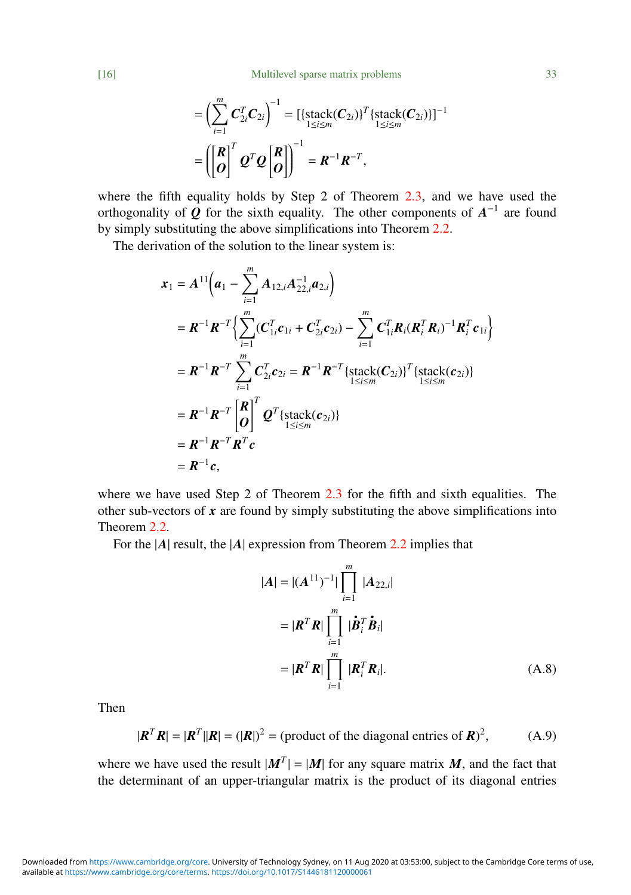[16] Multilevel sparse matrix problems 33

$$
= \left(\sum_{i=1}^{m} \mathbf{C}_{2i}^{T} \mathbf{C}_{2i}\right)^{-1} = \left[\left\{\text{stack}(\mathbf{C}_{2i})\right\}^{T}\left\{\text{stack}(\mathbf{C}_{2i})\right\}\right]^{-1}
$$

$$
= \left(\begin{bmatrix} \mathbf{R} \\ \mathbf{O} \end{bmatrix}^{T} \mathbf{Q}^{T} \mathbf{Q} \begin{bmatrix} \mathbf{R} \\ \mathbf{O} \end{bmatrix}\right)^{-1} = \mathbf{R}^{-1} \mathbf{R}^{-T},
$$

where the fifth equality holds by Step 2 of Theorem  $2.3$ , and we have used the orthogonality of  $Q$  for the sixth equality. The other components of  $A^{-1}$  are found by simply substituting the above simplifications into Theorem [2.2.](#page-3-1)

The derivation of the solution to the linear system is:

$$
x_1 = A^{11}\left(a_1 - \sum_{i=1}^m A_{12,i}A_{22,i}^{-1}a_{2,i}\right)
$$
  
\n
$$
= R^{-1}R^{-T}\left\{\sum_{i=1}^m (C_{1i}^T c_{1i} + C_{2i}^T c_{2i}) - \sum_{i=1}^m C_{1i}^T R_i (R_i^T R_i)^{-1} R_i^T c_{1i}\right\}
$$
  
\n
$$
= R^{-1}R^{-T}\sum_{i=1}^m C_{2i}^T c_{2i} = R^{-1}R^{-T}\left\{\text{stack}(C_{2i})\right\}^T\left\{\text{stack}(c_{2i})\right\}
$$
  
\n
$$
= R^{-1}R^{-T}\begin{bmatrix} R \\ O \end{bmatrix}^T Q^T\left\{\text{stack}(c_{2i})\right\}
$$
  
\n
$$
= R^{-1}R^{-T}R^T c
$$
  
\n
$$
= R^{-1}c,
$$

where we have used Step 2 of Theorem [2.3](#page-5-0) for the fifth and sixth equalities. The other sub-vectors of  $x$  are found by simply substituting the above simplifications into Theorem [2.2.](#page-3-1)

For the |*A*| result, the |*A*| expression from Theorem [2.2](#page-3-1) implies that

<span id="page-15-1"></span>
$$
|\mathbf{A}| = |(\mathbf{A}^{11})^{-1}| \prod_{i=1}^{m} |\mathbf{A}_{22,i}|
$$
  

$$
= |\mathbf{R}^T \mathbf{R}| \prod_{i=1}^{m} |\dot{\mathbf{B}}_i^T \dot{\mathbf{B}}_i|
$$
  

$$
= |\mathbf{R}^T \mathbf{R}| \prod_{i=1}^{m} |\mathbf{R}_i^T \mathbf{R}_i|. \qquad (A.8)
$$

Then

<span id="page-15-0"></span>
$$
|\mathbf{R}^T \mathbf{R}| = |\mathbf{R}^T| |\mathbf{R}| = (|\mathbf{R}|)^2 = (\text{product of the diagonal entries of } \mathbf{R})^2,\tag{A.9}
$$

where we have used the result  $|M^T| = |M|$  for any square matrix *M*, and the fact that the determinant of an upper-triangular matrix is the product of its diagonal entries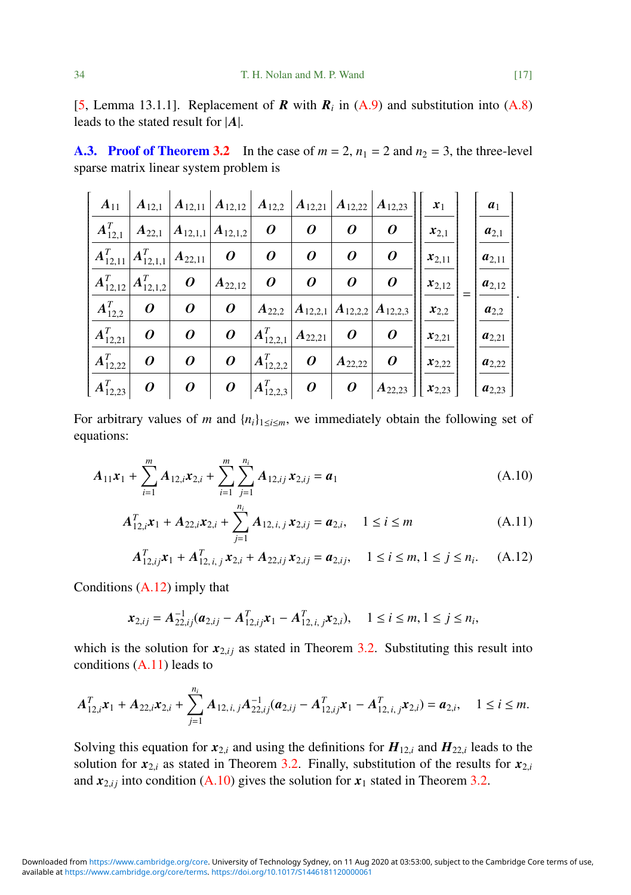[\[5,](#page-22-9) Lemma 13.1.1]. Replacement of  $\boldsymbol{R}$  with  $\boldsymbol{R}_i$  in [\(A.9\)](#page-15-0) and substitution into [\(A.8\)](#page-15-1) leads to the stated result for |*A*|.

<span id="page-16-0"></span>A.3. Proof of Theorem [3.2](#page-9-0) In the case of  $m = 2$ ,  $n_1 = 2$  and  $n_2 = 3$ , the three-level sparse matrix linear system problem is

| $A_{11}$       | $A_{12,1}$                           |                         | $\left  \,A_{12,11} \, \right  \,A_{12,12} \, \left  \,A_{12,2} \right $ |                  | $ A_{12,21} $         | $ A_{12,22} $ | $ A_{12,23} $ | $\mathbf{x}_1$          | $a_1$      |
|----------------|--------------------------------------|-------------------------|--------------------------------------------------------------------------|------------------|-----------------------|---------------|---------------|-------------------------|------------|
| $A_{12,1}^T$   | $\boldsymbol{A}_{22,1}$              | $\mathbf{ A}_{12,1,1} $ | $ A_{12,1,2} $                                                           | 0                | 0                     | 0             | 0             | $x_{2,1}$               | $a_{2,1}$  |
| $A_{12,11}^T$  | $\mathbf{ A}_{12,\underline{1,1}}^T$ | $A_{22,11}$             | 0                                                                        | 0                | 0                     | 0             | 0             | $x_{2,11}$              | $a_{2,11}$ |
| $A_{12,12}^T$  | $ A^T_{12,\underline{1,2}} $         | $\boldsymbol{o}$        | $A_{22,12}$                                                              | 0                | 0                     | 0             | 0             | $x_{2,12}$              | $a_{2,12}$ |
| $A_{12,2}^{T}$ | 0                                    | 0                       | 0                                                                        | $A_{22,2}$       | $A_{12,2,1}$          | $A_{12,2,2}$  | $A_{12,2,3}$  | $x_{2,2}$               | $a_{2,2}$  |
| $A_{12,21}^T$  | 0                                    | 0                       | 0                                                                        | $A_{12,2,1}^T$   | $A_{22,21}$           | 0             | 0             | $\boldsymbol{x}_{2,21}$ | $a_{2,21}$ |
| $A_{12,22}^T$  | 0                                    | 0                       | 0                                                                        | $A_{12,2,2}^T$   | 0                     | $A_{22,22}$   | 0             | $x_{2,22}$              | $a_{2,22}$ |
| $A_{12,23}^T$  | 0                                    | 0                       | 0                                                                        | $ A^T_{12,2,3} $ | $\boldsymbol{\theta}$ | 0             | $A_{22,23}$   | $x_{2,23}$              | $a_{2,23}$ |

For arbitrary values of *m* and  $\{n_i\}_{1 \leq i \leq m}$ , we immediately obtain the following set of equations:

$$
A_{11}x_1 + \sum_{i=1}^m A_{12,i}x_{2,i} + \sum_{i=1}^m \sum_{j=1}^{n_i} A_{12,ij}x_{2,ij} = a_1
$$
 (A.10)

<span id="page-16-3"></span>
$$
A_{12,i}^T \mathbf{x}_1 + A_{22,i} \mathbf{x}_{2,i} + \sum_{j=1}^{n_i} A_{12,i,j} \mathbf{x}_{2,ij} = \mathbf{a}_{2,i}, \quad 1 \le i \le m
$$
 (A.11)

<span id="page-16-2"></span><span id="page-16-1"></span>
$$
A_{12, i,j}^T \mathbf{x}_1 + A_{12, i,j}^T \mathbf{x}_{2,i} + A_{22, i,j} \mathbf{x}_{2,i,j} = \mathbf{a}_{2,i,j}, \quad 1 \le i \le m, 1 \le j \le n_i. \tag{A.12}
$$

Conditions [\(A.12\)](#page-16-1) imply that

$$
\boldsymbol{x}_{2,ij} = \boldsymbol{A}_{22,ij}^{-1}(\boldsymbol{a}_{2,ij} - \boldsymbol{A}_{12,ij}^T \boldsymbol{x}_1 - \boldsymbol{A}_{12,i,j}^T \boldsymbol{x}_{2,i}), \quad 1 \le i \le m, 1 \le j \le n_i,
$$

which is the solution for  $x_{2,ij}$  as stated in Theorem [3.2.](#page-9-0) Substituting this result into conditions  $(A.11)$  leads to

$$
A_{12,i}^T \mathbf{x}_1 + A_{22,i} \mathbf{x}_{2,i} + \sum_{j=1}^{n_i} A_{12,i,j} A_{22,i,j}^{-1} (\boldsymbol{a}_{2,i,j} - A_{12,i,j}^T \mathbf{x}_1 - A_{12,i,j}^T \mathbf{x}_{2,i}) = \boldsymbol{a}_{2,i}, \quad 1 \leq i \leq m.
$$

Solving this equation for  $x_{2,i}$  and using the definitions for  $H_{12,i}$  and  $H_{22,i}$  leads to the solution for  $x_i$ , and  $x_i$  and  $x_i$ . The spanner  $2, 2$ . Finally, substitution of the gasple for  $x_i$ solution for  $x_{2,i}$  as stated in Theorem [3.2.](#page-9-0) Finally, substitution of the results for  $x_{2,i}$ and  $x_{2,i}$  into condition [\(A.10\)](#page-16-3) gives the solution for  $x_1$  stated in Theorem [3.2.](#page-9-0)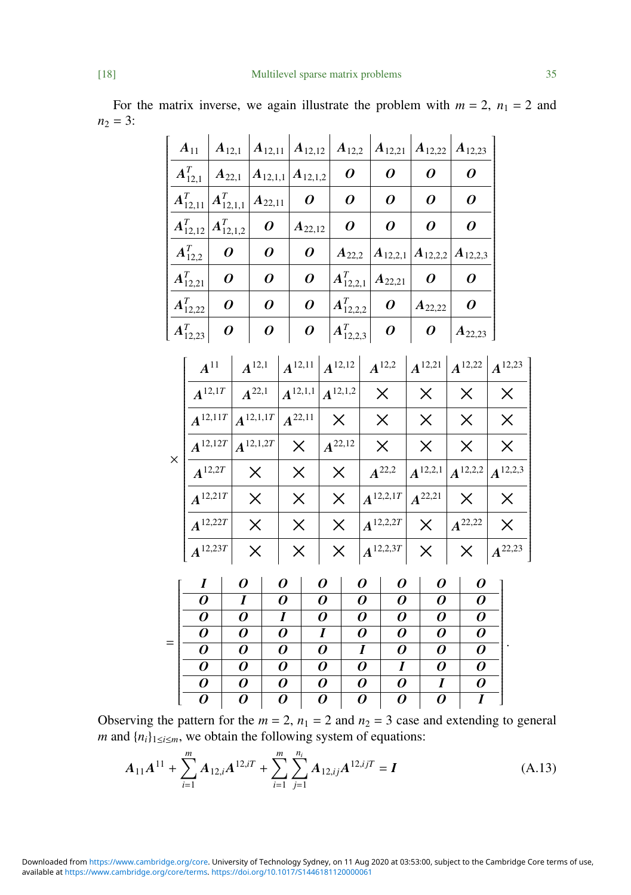For the matrix inverse, we again illustrate the problem with  $m = 2$ ,  $n_1 = 2$  and  $n_2 = 3$ :

|                | $A_{11}$<br>$A_{12,1}$ |                  | $A_{12,12}$<br>$A_{12,11}$ |               |                |                                      | $A_{12,2}$     |                  | $\vert A_{12,21}\vert$ |                  | $A_{12,22}$ |                                        | $\vert A_{12,23} \vert$ |                |                                     |  |
|----------------|------------------------|------------------|----------------------------|---------------|----------------|--------------------------------------|----------------|------------------|------------------------|------------------|-------------|----------------------------------------|-------------------------|----------------|-------------------------------------|--|
|                | $A_{12,1}^{T}$         |                  | $A_{22,1}$                 | $A_{12,1,1}$  |                | $A_{12,1,2}$                         |                | 0                |                        | 0                |             | 0                                      |                         | 0              |                                     |  |
|                | $A_{12,11}^T$          |                  | $A_{12,1,1}^T$             |               | $A_{22,11}$    |                                      |                | 0                |                        | $\boldsymbol{o}$ |             | 0                                      |                         | 0              |                                     |  |
|                | $A_{12,12}^T$          | $A_{12,1,2}^{T}$ |                            | 0<br>0        |                | $A_{22,12}$                          |                | 0                |                        | 0                |             | 0                                      |                         | 0              |                                     |  |
| $A_{12,2}^{T}$ |                        |                  | 0                          |               |                | 0                                    | $A_{22,2}$     |                  |                        |                  |             | $A_{12,2,1}   A_{12,2,2}   A_{12,2,3}$ |                         |                |                                     |  |
|                | $A_{12,21}^{T}$        |                  | 0                          |               | 0              |                                      |                | $A_{12,2,1}^{T}$ |                        | $A_{22,21}$      |             | 0                                      |                         | 0              |                                     |  |
|                | $A_{12,22}^{T}$        |                  | 0                          | 0             |                | 0                                    |                | $A_{12,2,2}^T$   |                        | 0                |             | $A_{22,22}$                            |                         | 0              |                                     |  |
|                | $A_{12,23}^T$          |                  | 0                          | 0             |                | 0                                    |                | $A_{12,2,3}^{T}$ |                        | 0                |             | 0                                      |                         | $A_{22,23}$    |                                     |  |
|                |                        | $A^{11}$         |                            | $A^{12,1}$    |                | $\left  A^{12,11} \right  A^{12,12}$ |                |                  |                        | $A^{12,2}$       |             |                                        |                         |                | $A^{12,21}$ $A^{12,22}$ $A^{12,23}$ |  |
|                | $A^{12,1T}$            |                  |                            | $A^{22,1}$    | $A^{12,1,1}$   |                                      | $A^{12,1,2}$   |                  |                        | $\times$         | $\times$    |                                        |                         | $\times$       | $\times$                            |  |
|                | $A^{12,11T}$           |                  | $A^{12,1,1T}$              | $A^{22,11}$   |                | $\times$                             |                |                  | $\times$               |                  | $\times$    |                                        | $\times$                | $\times$       |                                     |  |
|                |                        |                  |                            | $A^{12,1,2T}$ | $\times$       |                                      | $A^{22,12}$    |                  |                        | $\times$         |             | $\times$                               |                         | $\times$       | $\times$                            |  |
| $\times$       |                        | $A^{12,12T}$     |                            |               |                |                                      |                |                  |                        |                  |             |                                        |                         |                |                                     |  |
|                | $A^{12,2T}$            |                  |                            | $\times$      |                | $\times$                             |                | $\times$         |                        | $A^{22,2}$       |             | $A^{12,2,1}$                           |                         | $A^{12,2,2}$   | $A^{12,2,3}$                        |  |
|                | $A^{12,21T}$           |                  |                            | $\times$      |                | $\times$                             |                | $\times$         |                        | $A^{12,2,1T}$    |             | $A^{22,21}$                            |                         | $\times$       | $\times$                            |  |
|                | $A^{12,22T}$           |                  |                            | $\times$      |                | $\times$                             |                | $\times$         |                        | $A^{12,2,2T}$    |             | $\times$                               |                         | $A^{22,22}$    | $\times$                            |  |
|                | $A^{12,23T}$           |                  |                            | $\times$      |                | $\times$                             |                | $\times$         |                        | $A^{12,2,3T}$    |             | $\times$                               |                         | $\times$       | $A^{22,23}$                         |  |
|                | $\boldsymbol{I}$       |                  | 0                          |               | 0              |                                      | 0              | 0                |                        | 0                |             | 0                                      |                         | 0              |                                     |  |
|                | $\overline{o}$         |                  | I                          |               | 0              |                                      | 0              | 0                |                        | 0                |             | 0                                      |                         | 0              |                                     |  |
|                | $\overline{o}$         |                  | $\overline{o}$             |               | $\overline{I}$ |                                      | 0              | 0                |                        | 0                |             | 0                                      |                         | 0              |                                     |  |
| $=$            | $\overline{o}$         |                  | 0                          |               | 0              |                                      | I              | 0                |                        | 0                |             | 0                                      |                         | 0              |                                     |  |
|                | $\overline{o}$         |                  | 0                          |               | 0              |                                      | 0              | I                |                        | 0                |             | 0                                      |                         | 0              |                                     |  |
|                | $\overline{o}$         |                  | 0                          |               | 0              |                                      | 0              | 0                |                        | $\boldsymbol{I}$ |             | 0                                      |                         | 0              |                                     |  |
|                | $\overline{o}$         |                  | 0                          |               | 0              |                                      | 0              | $\overline{o}$   |                        | $\overline{o}$   |             | I                                      |                         | 0              |                                     |  |
|                | $\overline{o}$         | $\overline{o}$   |                            |               | $\overline{o}$ |                                      | $\overline{o}$ | $\overline{o}$   |                        | $\overline{o}$   |             | $\overline{o}$                         |                         | $\overline{I}$ |                                     |  |

Observing the pattern for the  $m = 2$ ,  $n_1 = 2$  and  $n_2 = 3$  case and extending to general *m* and  $\{n_i\}_{1 \leq i \leq m}$ , we obtain the following system of equations:

<span id="page-17-0"></span>
$$
A_{11}A^{11} + \sum_{i=1}^{m} A_{12,i}A^{12,i} + \sum_{i=1}^{m} \sum_{j=1}^{n_i} A_{12,i,j}A^{12,i} = I
$$
 (A.13)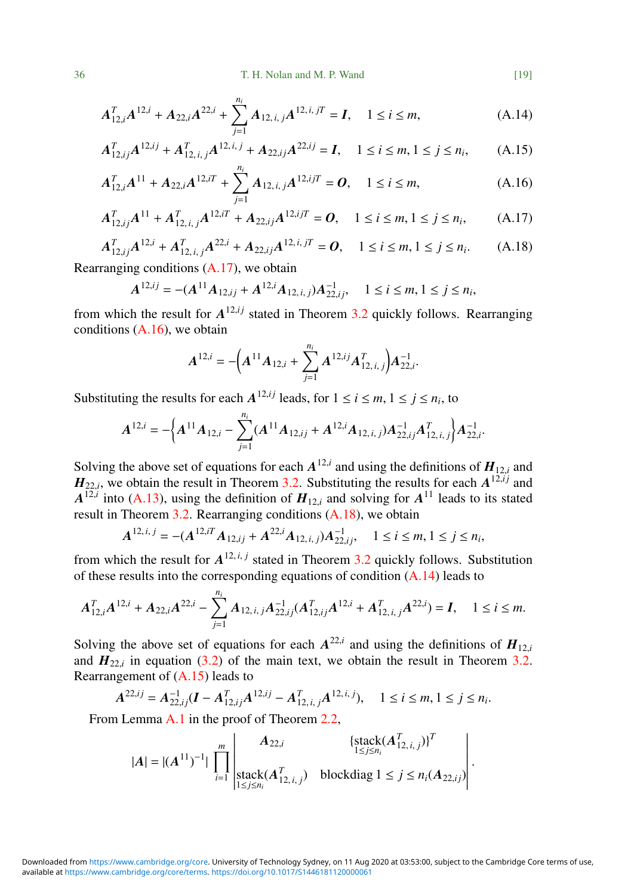$$
A_{12,i}^T A^{12,i} + A_{22,i} A^{22,i} + \sum_{j=1}^{n_i} A_{12,i,j} A^{12,i,j} = I, \quad 1 \le i \le m,
$$
 (A.14)

$$
A_{12,ij}^T A^{12,ij} + A_{12,i,j}^T A^{12,i,j} + A_{22,ij} A^{22,ij} = I, \quad 1 \le i \le m, 1 \le j \le n_i,
$$
 (A.15)

$$
A_{12,i}^T A^{11} + A_{22,i} A^{12,i} + \sum_{j=1}^{n_i} A_{12,i,j} A^{12,ij} = 0, \quad 1 \le i \le m,
$$
 (A.16)

$$
A_{12,ij}^T A^{11} + A_{12,i,j}^T A^{12,i} + A_{22,i,j} A^{12,i} = 0, \quad 1 \le i \le m, 1 \le j \le n_i,
$$
 (A.17)

$$
A_{12,ij}^T A^{12,i} + A_{12,i,j}^T A^{22,i} + A_{22,i,j} A^{12,i,j} = 0, \quad 1 \le i \le m, 1 \le j \le n_i.
$$
 (A.18)

Rearranging conditions [\(A.17\)](#page-18-0), we obtain

$$
A^{12,ij} = -(A^{11}A_{12,ij} + A^{12,i}A_{12,i,j})A_{22,ij}^{-1}, \quad 1 \le i \le m, 1 \le j \le n_i,
$$

from which the result for  $A^{12,ij}$  stated in Theorem [3.2](#page-9-0) quickly follows. Rearranging conditions [\(A.16\)](#page-18-1), we obtain

$$
A^{12,i} = -\left(A^{11}A_{12,i} + \sum_{j=1}^{n_i} A^{12,ij}A_{12,i,j}^T\right)A_{22,i}^{-1}.
$$

Substituting the results for each  $A^{12,ij}$  leads, for  $1 \le i \le m, 1 \le j \le n_i$ , to

$$
A^{12,i}=-\Big\{A^{11}A_{12,i}-\sum_{j=1}^{n_i}(A^{11}A_{12,ij}+A^{12,i}A_{12,i,j})A_{22,ij}^{-1}A_{12,i,j}^T\Big\}A_{22,i}^{-1}.
$$

Solving the above set of equations for each  $A^{12,i}$  and using the definitions of  $H_{12,i}$  and  $H_{12,i}$  and  $H_{12,i}$  and  $H_{2i}$  and  $H_{2i}$  and  $H_{2i}$  and  $H_{2i}$  and  $H_{2i}$  and  $H_{2i}$  and  $H_{2i}$  and  $H_{2i}$  and  $H_{2$  $H_{22,i}$ , we obtain the result in Theorem [3.2.](#page-9-0) Substituting the results for each  $A^{12,i}$  and  $A^{12,i}$  into  $(A,12)$ , using the definition of  $H_{\infty}$ , and solving for  $A^{11}$  loods to its stated  $A^{12,i}$  into [\(A.13\)](#page-17-0), using the definition of  $H_{12,i}$  and solving for  $A^{11}$  leads to its stated result in Theorem 3.2. Pearranging conditions (A.18), we obtain result in Theorem [3.2.](#page-9-0) Rearranging conditions [\(A.18\)](#page-18-2), we obtain

$$
A^{12,i,j} = -(A^{12,i}A_{12,ij} + A^{22,i}A_{12,i,j})A^{-1}_{22,ij}, \quad 1 \le i \le m, 1 \le j \le n_i,
$$

from which the result for  $A^{12,i,j}$  stated in Theorem [3.2](#page-9-0) quickly follows. Substitution of these results into the corresponding equations of condition  $(A.14)$  leads to

$$
A_{12,i}^T A^{12,i} + A_{22,i} A^{22,i} - \sum_{j=1}^{n_i} A_{12,i,j} A_{22,ij}^{-1} (A_{12,i,j}^T A^{12,i} + A_{12,i,j}^T A^{22,i}) = I, \quad 1 \le i \le m.
$$

Solving the above set of equations for each  $A^{22,i}$  and using the definitions of  $H_{12,i}$ <br>and  $H_{12,i}$  in equation (3.2) of the main text, we obtain the result in Theorem 3.2. and  $H_{22,i}$  in equation [\(3.2\)](#page-8-0) of the main text, we obtain the result in Theorem [3.2.](#page-9-0) Rearrangement of [\(A.15\)](#page-18-4) leads to

$$
A^{22,ij} = A_{22,ij}^{-1} (I - A_{12,ij}^T A^{12,ij} - A_{12,i,j}^T A^{12,i,j}), \quad 1 \le i \le m, 1 \le j \le n_i.
$$

From Lemma [A.1](#page-14-1) in the proof of Theorem [2.2,](#page-3-1)

$$
|A| = |(A^{11})^{-1}| \prod_{i=1}^{m} \left| \frac{A_{22,i}}{\text{stack}(A_{12,i,j}^T)} \right| \text{block}(A_{12,i,j}^T) \text{blockdiag } 1 \le j \le n_i (A_{22,ij})
$$

<span id="page-18-4"></span><span id="page-18-3"></span><span id="page-18-2"></span><span id="page-18-1"></span><span id="page-18-0"></span>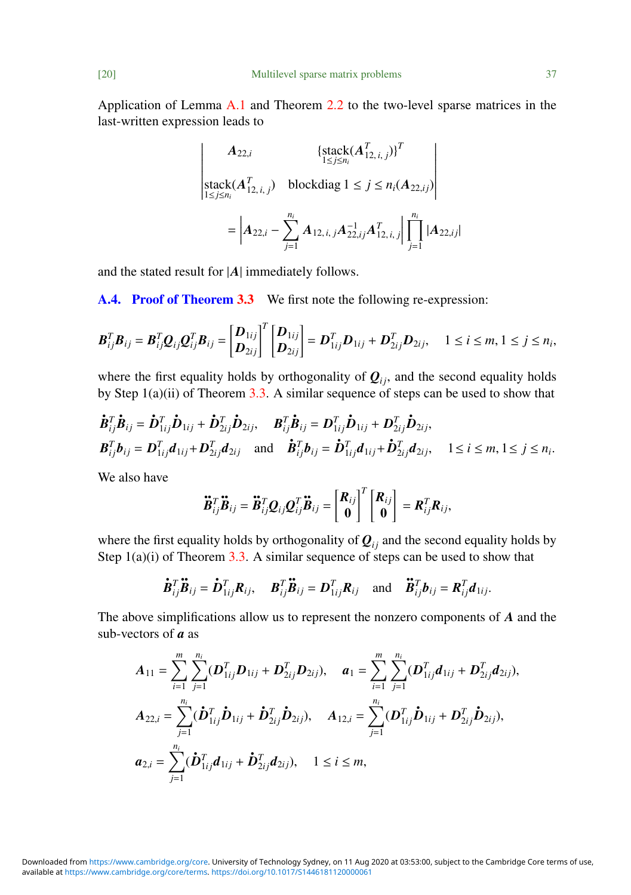Application of Lemma [A.1](#page-14-1) and Theorem [2.2](#page-3-1) to the two-level sparse matrices in the last-written expression leads to

$$
\begin{vmatrix}\nA_{22,i} & \{\text{stack}(A_{12,i,j}^T)\}^T \\
\text{stack}(A_{12,i,j}^T)\end{vmatrix} \\
= \left| A_{22,i} - \sum_{j=1}^{n_i} A_{12,i,j} A_{22,ij}^{-1} A_{12,i,j}^{-1} \right|_{j=1}^{n_i} |A_{22,ij}|
$$

and the stated result for |*A*| immediately follows.

<span id="page-19-0"></span>A.4. Proof of Theorem [3.3](#page-11-0) We first note the following re-expression:

$$
\boldsymbol{B}_{ij}^T \boldsymbol{B}_{ij} = \boldsymbol{B}_{ij}^T \boldsymbol{Q}_{ij} \boldsymbol{Q}_{ij}^T \boldsymbol{B}_{ij} = \begin{bmatrix} \boldsymbol{D}_{1ij} \\ \boldsymbol{D}_{2ij} \end{bmatrix}^T \begin{bmatrix} \boldsymbol{D}_{1ij} \\ \boldsymbol{D}_{2ij} \end{bmatrix} = \boldsymbol{D}_{1ij}^T \boldsymbol{D}_{1ij} + \boldsymbol{D}_{2ij}^T \boldsymbol{D}_{2ij}, \quad 1 \leq i \leq m, 1 \leq j \leq n_i,
$$

where the first equality holds by orthogonality of  $Q_{ij}$ , and the second equality holds by Step  $1(a)(ii)$  of Theorem [3.3.](#page-11-0) A similar sequence of steps can be used to show that

$$
\dot{\mathbf{B}}_{ij}^T \dot{\mathbf{B}}_{ij} = \dot{\mathbf{D}}_{1ij}^T \dot{\mathbf{D}}_{1ij} + \dot{\mathbf{D}}_{2ij}^T \dot{\mathbf{D}}_{2ij}, \quad \mathbf{B}_{ij}^T \dot{\mathbf{B}}_{ij} = \mathbf{D}_{1ij}^T \dot{\mathbf{D}}_{1ij} + \mathbf{D}_{2ij}^T \dot{\mathbf{D}}_{2ij}, \n\mathbf{B}_{ij}^T \mathbf{b}_{ij} = \mathbf{D}_{1ij}^T \mathbf{d}_{1ij} + \mathbf{D}_{2ij}^T \mathbf{d}_{2ij} \quad \text{and} \quad \dot{\mathbf{B}}_{ij}^T \mathbf{b}_{ij} = \dot{\mathbf{D}}_{1ij}^T \mathbf{d}_{1ij} + \dot{\mathbf{D}}_{2ij}^T \mathbf{d}_{2ij}, \quad 1 \le i \le m, 1 \le j \le n_i.
$$

We also have

$$
\ddot{\boldsymbol{B}}_{ij}^T \ddot{\boldsymbol{B}}_{ij} = \ddot{\boldsymbol{B}}_{ij}^T \boldsymbol{Q}_{ij} \boldsymbol{Q}_{ij}^T \ddot{\boldsymbol{B}}_{ij} = \begin{bmatrix} \boldsymbol{R}_{ij} \\ \boldsymbol{0} \end{bmatrix}^T \begin{bmatrix} \boldsymbol{R}_{ij} \\ \boldsymbol{0} \end{bmatrix} = \boldsymbol{R}_{ij}^T \boldsymbol{R}_{ij},
$$

where the first equality holds by orthogonality of  $Q_{ij}$  and the second equality holds by Step  $1(a)(i)$  of Theorem [3.3.](#page-11-0) A similar sequence of steps can be used to show that

$$
\dot{\boldsymbol{B}}_{ij}^T \ddot{\boldsymbol{B}}_{ij} = \dot{\boldsymbol{D}}_{1ij}^T \boldsymbol{R}_{ij}, \quad \boldsymbol{B}_{ij}^T \ddot{\boldsymbol{B}}_{ij} = \boldsymbol{D}_{1ij}^T \boldsymbol{R}_{ij} \quad \text{and} \quad \ddot{\boldsymbol{B}}_{ij}^T \boldsymbol{b}_{ij} = \boldsymbol{R}_{ij}^T \boldsymbol{d}_{1ij}.
$$

The above simplifications allow us to represent the nonzero components of *A* and the sub-vectors of *a* as

$$
A_{11} = \sum_{i=1}^{m} \sum_{j=1}^{n_i} (\boldsymbol{D}_{1ij}^T \boldsymbol{D}_{1ij} + \boldsymbol{D}_{2ij}^T \boldsymbol{D}_{2ij}), \quad a_1 = \sum_{i=1}^{m} \sum_{j=1}^{n_i} (\boldsymbol{D}_{1ij}^T \boldsymbol{d}_{1ij} + \boldsymbol{D}_{2ij}^T \boldsymbol{d}_{2ij}),
$$
  
\n
$$
A_{22,i} = \sum_{j=1}^{n_i} (\boldsymbol{\dot{D}}_{1ij}^T \boldsymbol{\dot{D}}_{1ij} + \boldsymbol{\dot{D}}_{2ij}^T \boldsymbol{\dot{D}}_{2ij}), \quad A_{12,i} = \sum_{j=1}^{n_i} (\boldsymbol{D}_{1ij}^T \boldsymbol{\dot{D}}_{1ij} + \boldsymbol{D}_{2ij}^T \boldsymbol{\dot{D}}_{2ij}),
$$
  
\n
$$
a_{2,i} = \sum_{j=1}^{n_i} (\boldsymbol{\dot{D}}_{1ij}^T \boldsymbol{d}_{1ij} + \boldsymbol{\dot{D}}_{2ij}^T \boldsymbol{d}_{2ij}), \quad 1 \le i \le m,
$$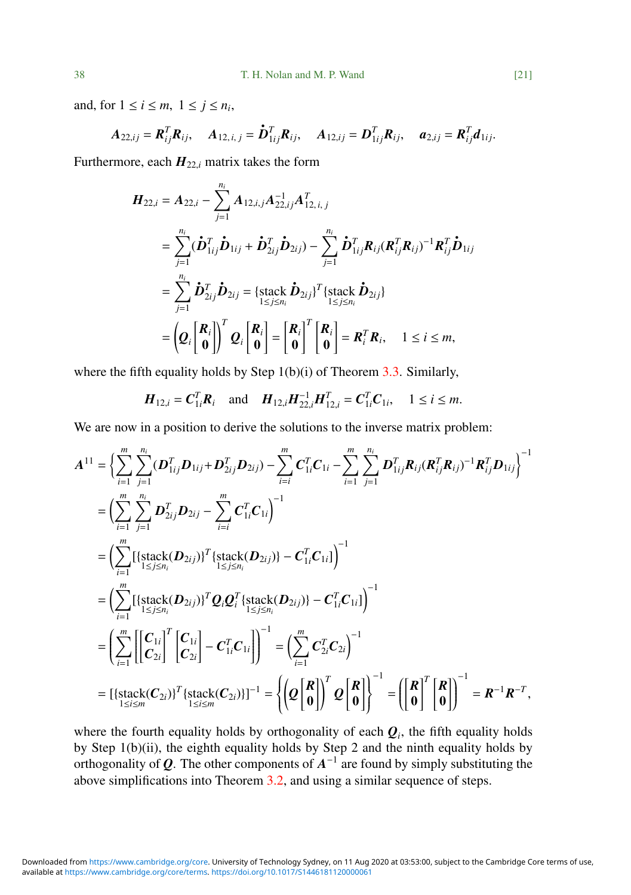and, for  $1 \le i \le m$ ,  $1 \le j \le n_i$ ,

$$
A_{22,ij} = \mathbf{R}_{ij}^T \mathbf{R}_{ij}, \quad A_{12,i,j} = \mathbf{\dot{D}}_{1ij}^T \mathbf{R}_{ij}, \quad A_{12,ij} = \mathbf{D}_{1ij}^T \mathbf{R}_{ij}, \quad a_{2,ij} = \mathbf{R}_{ij}^T \mathbf{d}_{1ij}.
$$

Furthermore, each  $H_{22,i}$  matrix takes the form

$$
H_{22,i} = A_{22,i} - \sum_{j=1}^{n_i} A_{12,i,j} A_{22,i,j}^{-1} A_{12,i,j}^T
$$
  
\n
$$
= \sum_{j=1}^{n_i} (\dot{D}_{1ij}^T \dot{D}_{1ij} + \dot{D}_{2ij}^T \dot{D}_{2ij}) - \sum_{j=1}^{n_i} \dot{D}_{1ij}^T R_{ij} (R_{ij}^T R_{ij})^{-1} R_{ij}^T \dot{D}_{1ij}
$$
  
\n
$$
= \sum_{j=1}^{n_i} \dot{D}_{2ij}^T \dot{D}_{2ij} = \{ \text{stack } \dot{D}_{2ij} \}^T \{ \text{stack } \dot{D}_{2ij} \}
$$
  
\n
$$
= \left( Q_i \begin{bmatrix} R_i \\ 0 \end{bmatrix} \right)^T Q_i \begin{bmatrix} R_i \\ 0 \end{bmatrix} = \begin{bmatrix} R_i \\ 0 \end{bmatrix}^T \begin{bmatrix} R_i \\ 0 \end{bmatrix} = R_i^T R_i, \quad 1 \le i \le m,
$$

where the fifth equality holds by Step  $1(b)(i)$  of Theorem [3.3.](#page-11-0) Similarly,

$$
\boldsymbol{H}_{12,i} = \boldsymbol{C}_{1i}^T \boldsymbol{R}_i \quad \text{and} \quad \boldsymbol{H}_{12,i} \boldsymbol{H}_{22,i}^{-1} \boldsymbol{H}_{12,i}^T = \boldsymbol{C}_{1i}^T \boldsymbol{C}_{1i}, \quad 1 \le i \le m.
$$

We are now in a position to derive the solutions to the inverse matrix problem:

$$
A^{11} = \left\{ \sum_{i=1}^{m} \sum_{j=1}^{n_i} (\mathbf{D}_{1ij}^T \mathbf{D}_{1ij} + \mathbf{D}_{2ij}^T \mathbf{D}_{2ij}) - \sum_{i=1}^{m} \mathbf{C}_{1i}^T \mathbf{C}_{1i} - \sum_{i=1}^{m} \sum_{j=1}^{n_i} \mathbf{D}_{1ij}^T \mathbf{R}_{ij} (\mathbf{R}_{ij}^T \mathbf{R}_{ij})^{-1} \mathbf{R}_{ij}^T \mathbf{D}_{1ij} \right\}^{-1}
$$
  
\n
$$
= \left( \sum_{i=1}^{m} \sum_{j=1}^{n_i} \mathbf{D}_{2ij}^T \mathbf{D}_{2ij} - \sum_{i=1}^{m} \mathbf{C}_{1i}^T \mathbf{C}_{1i} \right)^{-1}
$$
  
\n
$$
= \left( \sum_{i=1}^{m} \left[ \{ \text{stack} (\mathbf{D}_{2ij}) \}^T \{ \text{stack} (\mathbf{D}_{2ij}) \} - \mathbf{C}_{1i}^T \mathbf{C}_{1i} \right] \right)^{-1}
$$
  
\n
$$
= \left( \sum_{i=1}^{m} \left[ \{ \text{stack} (\mathbf{D}_{2ij}) \}^T \mathbf{Q}_i \mathbf{Q}_i^T \{ \text{stack} (\mathbf{D}_{2ij}) \} - \mathbf{C}_{1i}^T \mathbf{C}_{1i} \} \right)^{-1}
$$
  
\n
$$
= \left( \sum_{i=1}^{m} \left[ \left[ \mathbf{C}_{1i} \right]^T \left[ \mathbf{C}_{1i} \right] - \mathbf{C}_{1i}^T \mathbf{C}_{1i} \right] \right)^{-1} = \left( \sum_{i=1}^{m} \mathbf{C}_{2i}^T \mathbf{C}_{2i} \right)^{-1}
$$
  
\n
$$
= \left[ \{ \text{stack} (\mathbf{C}_{2i}) \}^T \{ \text{stack} (\mathbf{C}_{2i}) \}^{-1} - \mathbf{C}_{1i}^T \mathbf{C}_{1i} \right] \right)^{-1} = \left\{ \left( \mathbf{Q} \begin{bmatrix} \mathbf{R} \\ \mathbf{0} \end{bmatrix} \right)^T \mathbf{Q}_i \begin
$$

where the fourth equality holds by orthogonality of each  $\boldsymbol{Q}_i$ , the fifth equality holds by Step 1(b)(ii), the eighth equality holds by Step 2 and the ninth equality holds by orthogonality of  $Q$ . The other components of  $A^{-1}$  are found by simply substituting the above simplifications into Theorem [3.2,](#page-9-0) and using a similar sequence of steps.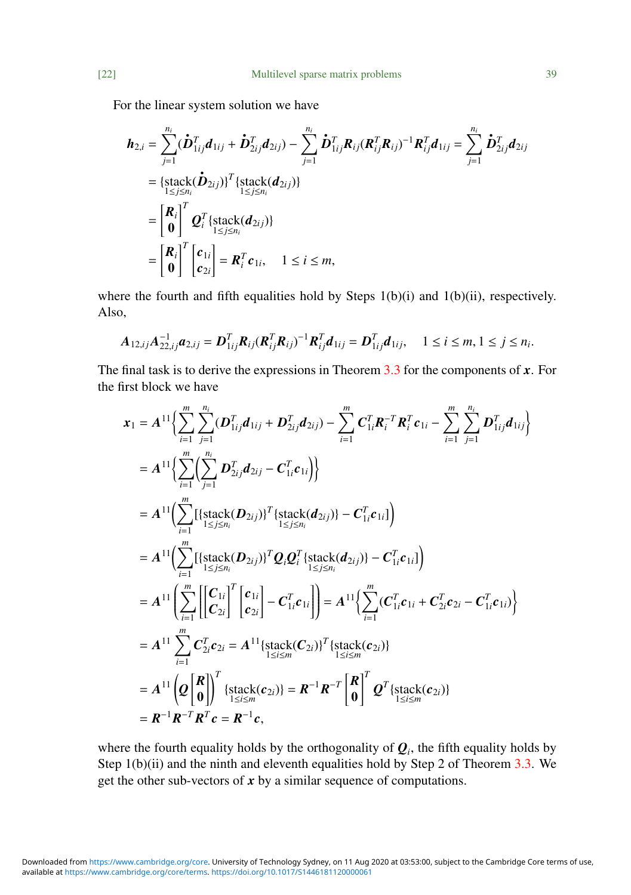For the linear system solution we have

$$
h_{2,i} = \sum_{j=1}^{n_i} (\dot{D}_{1ij}^T d_{1ij} + \dot{D}_{2ij}^T d_{2ij}) - \sum_{j=1}^{n_i} \dot{D}_{1ij}^T R_{ij} (R_{ij}^T R_{ij})^{-1} R_{ij}^T d_{1ij} = \sum_{j=1}^{n_i} \dot{D}_{2ij}^T d_{2ij}
$$
  
\n
$$
= {\frac{\{\text{stack}(\dot{D}_{2ij})\}^T \{\text{stack}(d_{2ij})\}}{\frac{1}{2} \sum_{j \le n_i} n_j}}}
$$
  
\n
$$
= \left[\frac{R_i}{0}\right]^T Q_i^T {\frac{\{\text{stack}(d_{2ij})\}}{\frac{1}{2} \sum_{j \le n_i} n_j}} = R_i^T c_{1i}, \quad 1 \le i \le m,
$$

where the fourth and fifth equalities hold by Steps 1(b)(i) and 1(b)(ii), respectively. Also,

$$
A_{12,ij}A_{22,ij}^{-1}a_{2,ij}=D_{1ij}^TR_{ij}(R_{ij}^TR_{ij})^{-1}R_{ij}^Td_{1ij}=D_{1ij}^Td_{1ij}, \quad 1\leq i\leq m, 1\leq j\leq n_i.
$$

The final task is to derive the expressions in Theorem [3.3](#page-11-0) for the components of *x*. For the first block we have

$$
x_{1} = A^{11}\left\{\sum_{i=1}^{m}\sum_{j=1}^{n_{i}}(D_{1ij}^{T}d_{1ij} + D_{2ij}^{T}d_{2ij}) - \sum_{i=1}^{m}C_{1i}^{T}R_{i}^{T}c_{1i} - \sum_{i=1}^{m}\sum_{j=1}^{n_{i}}D_{1ij}^{T}d_{1ij}\right\}= A^{11}\left\{\sum_{i=1}^{m}\left(\sum_{j=1}^{n_{i}}D_{2ij}^{T}d_{2ij} - C_{1i}^{T}c_{1i}\right)\right\}= A^{11}\left(\sum_{i=1}^{m}\left[\left\{\text{stack}(D_{2ij})\right)^{T}\left\{\text{stack}(d_{2ij})\right\} - C_{1i}^{T}c_{1i}\right\}\right)= A^{11}\left(\sum_{i=1}^{m}\left[\left\{\text{stack}(D_{2ij})\right)^{T}Q_{i}Q_{i}^{T}\left\{\text{stack}(d_{2ij})\right\} - C_{1i}^{T}c_{1i}\right\}\right)= A^{11}\left(\sum_{i=1}^{m}\left[\left\{\text{stack}(D_{2ij})\right)^{T}Q_{i}Q_{i}^{T}\left\{\text{stack}(d_{2ij})\right\} - C_{1i}^{T}c_{1i}\right\}\right)= A^{11}\left(\sum_{i=1}^{m}\left[\left[\left.\sum_{i=1}^{m}\left[\left.\sum_{i=1}^{n}\left(\sum_{i=1}^{n}\left.\sum_{j\leq m_{i}}^{m}(C_{1i}^{T}c_{1i} + C_{2i}^{T}c_{2i} - C_{1i}^{T}c_{1i}\right)\right) - C_{1i}^{T}c_{2i}\right\}\right]= A^{11}\sum_{i=1}^{m}C_{2i}^{T}c_{2i} = A^{11}\left\{\text{stack}(C_{2i})\right\}^{T}\left\{\text{stack}(c_{2i})\right\}= A^{11}\left(Q\left[\begin{matrix}R\\0\end{matrix}\right)\right]^{T}\left\{\text{stack}(c_{2i})\right\} = R^{-1}R^{-T}\left[\begin{matrix}R\\0\end{matrix}\right]^{T}Q^{T}\left\{\text{stack}(c_{2i})\right\}= R^{-1}R^{-T}R^{T}c = R^{-1}c, \
$$

where the fourth equality holds by the orthogonality of  $\mathcal{Q}_i$ , the fifth equality holds by Step  $1(b)(ii)$  and the ninth and eleventh equalities hold by Step 2 of Theorem [3.3.](#page-11-0) We get the other sub-vectors of  $x$  by a similar sequence of computations.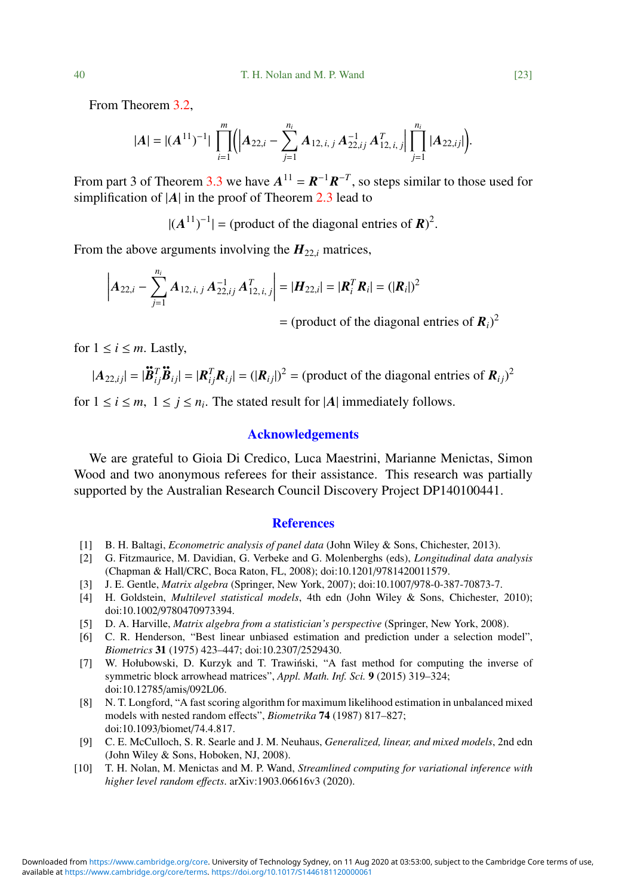From Theorem [3.2,](#page-9-0)

$$
|A| = |(A^{11})^{-1}| \prod_{i=1}^{m} (A_{22,i} - \sum_{j=1}^{n_i} A_{12,i,j} A_{22,ij}^{-1} A_{12,i,j}^T | \prod_{j=1}^{n_i} |A_{22,ij}|).
$$

From part 3 of Theorem [3.3](#page-11-0) we have  $A^{11} = R^{-1}R^{-T}$ , so steps similar to those used for simplification of |*A*| in the proof of Theorem [2.3](#page-5-0) lead to

 $|(A^{11})^{-1}|$  = (product of the diagonal entries of  $\mathbf{R})^2$ 

From the above arguments involving the  $H_{22}$  matrices,

$$
\left| \mathbf{A}_{22,i} - \sum_{j=1}^{n_i} \mathbf{A}_{12,i,j} \mathbf{A}_{22,ij}^{-1} \mathbf{A}_{12,i,j}^T \right| = |\mathbf{H}_{22,i}| = |\mathbf{R}_i^T \mathbf{R}_i| = (|\mathbf{R}_i|)^2
$$

 $=$  (product of the diagonal entries of  $R_i$ )<sup>2</sup>

for  $1 \leq i \leq m$ . Lastly,

$$
|\mathbf{A}_{22,ij}| = |\mathbf{B}_{ij}^T \mathbf{B}_{ij}| = |\mathbf{R}_{ij}^T \mathbf{R}_{ij}| = (|\mathbf{R}_{ij}|)^2 = (\text{product of the diagonal entries of } \mathbf{R}_{ij})^2
$$

for  $1 \le i \le m$ ,  $1 \le j \le n_i$ . The stated result for  $|A|$  immediately follows.

## Acknowledgements

We are grateful to Gioia Di Credico, Luca Maestrini, Marianne Menictas, Simon Wood and two anonymous referees for their assistance. This research was partially supported by the Australian Research Council Discovery Project DP140100441.

#### **References**

- <span id="page-22-2"></span>[1] B. H. Baltagi, *Econometric analysis of panel data* (John Wiley & Sons, Chichester, 2013).
- <span id="page-22-1"></span>[2] G. Fitzmaurice, M. Davidian, G. Verbeke and G. Molenberghs (eds), *Longitudinal data analysis* (Chapman & Hall/CRC, Boca Raton, FL, 2008); doi:10.1201/[9781420011579.](https://doi.org/10.1201/9781420011579)
- <span id="page-22-5"></span>[3] J. E. Gentle, *Matrix algebra* (Springer, New York, 2007); doi:10.1007/[978-0-387-70873-7.](https://doi.org/10.1007/978-0-387-70873-7)
- <span id="page-22-0"></span>[4] H. Goldstein, *Multilevel statistical models*, 4th edn (John Wiley & Sons, Chichester, 2010); doi:10.1002/[9780470973394.](https://doi.org/10.1002/9780470973394)
- <span id="page-22-9"></span>[5] D. A. Harville, *Matrix algebra from a statistician's perspective* (Springer, New York, 2008).
- <span id="page-22-4"></span>[6] C. R. Henderson, "Best linear unbiased estimation and prediction under a selection model", *Biometrics* 31 (1975) 423–447; doi:10.2307/[2529430.](https://doi.org/10.2307/2529430)
- <span id="page-22-8"></span>[7] W. Hołubowski, D. Kurzyk and T. Trawinski, "A fast method for computing the inverse of ´ symmetric block arrowhead matrices", *Appl. Math. Inf. Sci.* 9 (2015) 319–324; doi[:10.12785](https://doi.org/10.12785/amis/092L06)/amis/092L06.
- <span id="page-22-6"></span>[8] N. T. Longford, "A fast scoring algorithm for maximum likelihood estimation in unbalanced mixed models with nested random effects", *Biometrika* 74 (1987) 817–827; doi:10.1093/biomet/[74.4.817.](https://doi.org/10.1093/biomet/74.4.817)
- <span id="page-22-3"></span>[9] C. E. McCulloch, S. R. Searle and J. M. Neuhaus, *Generalized, linear, and mixed models*, 2nd edn (John Wiley & Sons, Hoboken, NJ, 2008).
- <span id="page-22-7"></span>[10] T. H. Nolan, M. Menictas and M. P. Wand, *Streamlined computing for variational inference with higher level random e*ff*ects*. [arXiv:1903.06616v3](http://www.arxiv.org/abs/1903.06616v3) (2020).